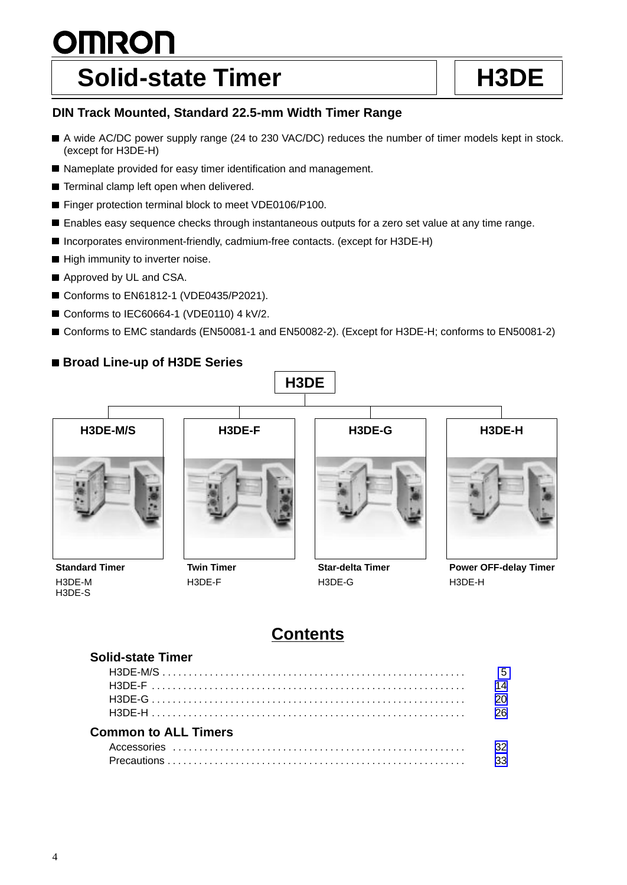# **OMRON** Solid-state Timer **Hashing H3DE**

## **DIN Track Mounted, Standard 22.5-mm Width Timer Range**

- A wide AC/DC power supply range (24 to 230 VAC/DC) reduces the number of timer models kept in stock. (except for H3DE-H)
- Nameplate provided for easy timer identification and management.
- **Terminal clamp left open when delivered.**
- Finger protection terminal block to meet VDE0106/P100.
- Enables easy sequence checks through instantaneous outputs for a zero set value at any time range.
- Incorporates environment-friendly, cadmium-free contacts. (except for H3DE-H)
- High immunity to inverter noise.
- Approved by UL and CSA.
- Conforms to EN61812-1 (VDE0435/P2021).
- Conforms to IEC60664-1 (VDE0110) 4 kV/2.
- Conforms to EMC standards (EN50081-1 and EN50082-2). (Except for H3DE-H; conforms to EN50081-2)

## **Broad Line-up of H3DE Series**



**Standard Timer** H3DE-M H3DE-S

**Twin Timer** H3DE-F

H3DE-G

**Power OFF-delay Timer** H3DE-H

## **Contents**

| <b>Solid-state Timer</b>    |     |
|-----------------------------|-----|
|                             | - 5 |
|                             | 14  |
|                             | 20  |
|                             |     |
| <b>Common to ALL Timers</b> |     |
|                             | 32  |
|                             | 33  |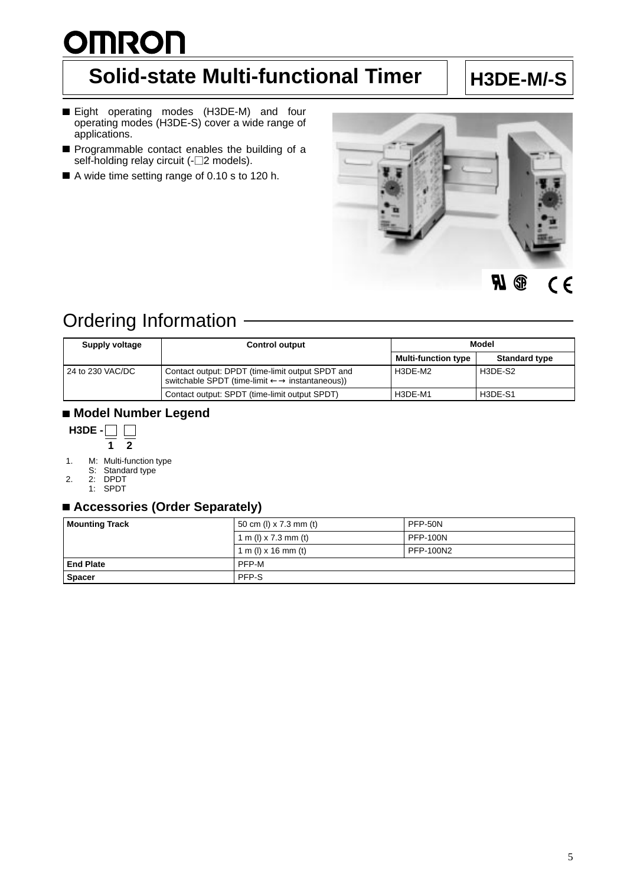# <span id="page-1-0"></span>**OMRON**

## **Solid-state Multi-functional Timer** | H3DE-M/-S

- Eight operating modes (H3DE-M) and four operating modes (H3DE-S) cover a wide range of applications.
- Programmable contact enables the building of a self-holding relay circuit (- $\square$ 2 models).
- A wide time setting range of 0.10 s to 120 h.



#### R **C**  $C<sub>f</sub>$

## Ordering Information

| Supply voltage   | <b>Control output</b>                                                                                                    | Model                      |                      |
|------------------|--------------------------------------------------------------------------------------------------------------------------|----------------------------|----------------------|
|                  |                                                                                                                          | <b>Multi-function type</b> | <b>Standard type</b> |
| 24 to 230 VAC/DC | Contact output: DPDT (time-limit output SPDT and<br>switchable SPDT (time-limit $\leftarrow \rightarrow$ instantaneous)) | H3DE-M2                    | H3DE-S2              |
|                  | Contact output: SPDT (time-limit output SPDT)                                                                            | H3DE-M1                    | H3DE-S1              |

## **Model Number Legend**



- 1. M: Multi-function type
	- S: Standard type
- 2. 2: DPDT
	- 1: SPDT

## **Accessories (Order Separately)**

| <b>Mounting Track</b> | 50 cm (l) $\times$ 7.3 mm (t) | PFP-50N          |
|-----------------------|-------------------------------|------------------|
|                       | 1 m (l) x 7.3 mm (t)          | <b>PFP-100N</b>  |
|                       | 1 m (l) $\times$ 16 mm (t)    | <b>PFP-100N2</b> |
| <b>End Plate</b>      | PFP-M                         |                  |
| <b>Spacer</b>         | PFP-S                         |                  |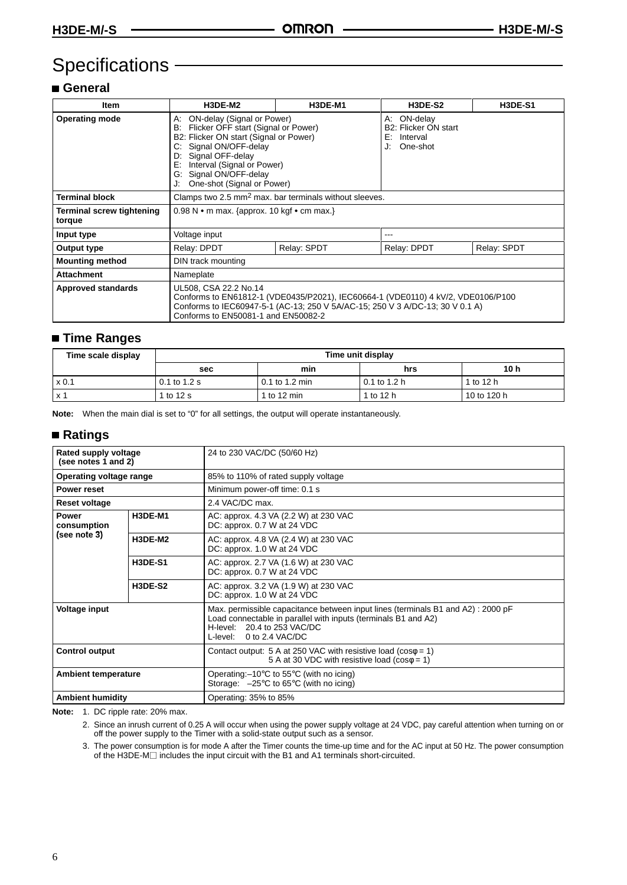## Specifications -

## **General**

| Item                                | H3DE-M2                                                                                                                                                                                                                                                              | H3DE-M1     | <b>H3DE-S2</b>                                                             | <b>H3DE-S1</b> |
|-------------------------------------|----------------------------------------------------------------------------------------------------------------------------------------------------------------------------------------------------------------------------------------------------------------------|-------------|----------------------------------------------------------------------------|----------------|
| <b>Operating mode</b>               | ON-delay (Signal or Power)<br>А:<br>Flicker OFF start (Signal or Power)<br>B:<br>B2: Flicker ON start (Signal or Power)<br>Signal ON/OFF-delay<br>Signal OFF-delay<br>D:<br>Interval (Signal or Power)<br>E:<br>G: Signal ON/OFF-delay<br>One-shot (Signal or Power) |             | ON-delay<br>А:<br>B2: Flicker ON start<br>Interval<br>E:<br>One-shot<br>J. |                |
| <b>Terminal block</b>               | Clamps two 2.5 mm <sup>2</sup> max. bar terminals without sleeves.                                                                                                                                                                                                   |             |                                                                            |                |
| Terminal screw tightening<br>torque | 0.98 N • m max. {approx. 10 kgf • cm max.}                                                                                                                                                                                                                           |             |                                                                            |                |
| Input type                          | Voltage input                                                                                                                                                                                                                                                        |             |                                                                            |                |
| Output type                         | Relay: DPDT                                                                                                                                                                                                                                                          | Relay: SPDT | Relay: DPDT                                                                | Relay: SPDT    |
| <b>Mounting method</b>              | DIN track mounting                                                                                                                                                                                                                                                   |             |                                                                            |                |
| <b>Attachment</b>                   | Nameplate                                                                                                                                                                                                                                                            |             |                                                                            |                |
| <b>Approved standards</b>           | UL508, CSA 22.2 No.14<br>Conforms to EN61812-1 (VDE0435/P2021), IEC60664-1 (VDE0110) 4 kV/2, VDE0106/P100<br>Conforms to IEC60947-5-1 (AC-13; 250 V 5A/AC-15; 250 V 3 A/DC-13; 30 V 0.1 A)<br>Conforms to EN50081-1 and EN50082-2                                    |             |                                                                            |                |

## **Time Ranges**

| Time scale display | Time unit display |                |              |                 |
|--------------------|-------------------|----------------|--------------|-----------------|
|                    | sec               | min            | hrs          | 10 <sub>h</sub> |
| $\times 0.1$       | 0.1 to 1.2 s      | 0.1 to 1.2 min | 0.1 to 1.2 h | 1 to 12 h       |
| l x 1              | 1 to 12 s         | 1 to 12 min    | 1 to 12 h    | 10 to 120 h     |

**Note:** When the main dial is set to "0" for all settings, the output will operate instantaneously.

### **Ratings**

| Rated supply voltage<br>(see notes 1 and 2) |                | 24 to 230 VAC/DC (50/60 Hz)                                                                                                                                                                                  |
|---------------------------------------------|----------------|--------------------------------------------------------------------------------------------------------------------------------------------------------------------------------------------------------------|
| Operating voltage range                     |                | 85% to 110% of rated supply voltage                                                                                                                                                                          |
| <b>Power reset</b>                          |                | Minimum power-off time: 0.1 s                                                                                                                                                                                |
| <b>Reset voltage</b>                        |                | 2.4 VAC/DC max.                                                                                                                                                                                              |
| <b>Power</b><br>consumption                 | H3DE-M1        | AC: approx. 4.3 VA (2.2 W) at 230 VAC<br>DC: approx. 0.7 W at 24 VDC                                                                                                                                         |
| (see note 3)                                | H3DE-M2        | AC: approx. 4.8 VA (2.4 W) at 230 VAC<br>DC: approx. 1.0 W at 24 VDC                                                                                                                                         |
|                                             | <b>H3DE-S1</b> | AC: approx. 2.7 VA (1.6 W) at 230 VAC<br>DC: approx. 0.7 W at 24 VDC                                                                                                                                         |
|                                             | <b>H3DE-S2</b> | AC: approx. 3.2 VA (1.9 W) at 230 VAC<br>DC: approx. 1.0 W at 24 VDC                                                                                                                                         |
| <b>Voltage input</b>                        |                | Max. permissible capacitance between input lines (terminals B1 and A2): 2000 pF<br>Load connectable in parallel with inputs (terminals B1 and A2)<br>H-level: 20.4 to 253 VAC/DC<br>L-level: 0 to 2.4 VAC/DC |
| <b>Control output</b>                       |                | Contact output: 5 A at 250 VAC with resistive load ( $cos\phi = 1$ )<br>5 A at 30 VDC with resistive load ( $cos\phi = 1$ )                                                                                  |
| <b>Ambient temperature</b>                  |                | Operating: $-10^{\circ}$ C to 55 $^{\circ}$ C (with no icing)<br>Storage: $-25^{\circ}$ C to 65 $^{\circ}$ C (with no icing)                                                                                 |
| <b>Ambient humidity</b>                     |                | Operating: 35% to 85%                                                                                                                                                                                        |

**Note:** 1. DC ripple rate: 20% max.

2. Since an inrush current of 0.25 A will occur when using the power supply voltage at 24 VDC, pay careful attention when turning on or off the power supply to the Timer with a solid-state output such as a sensor.

3. The power consumption is for mode A after the Timer counts the time-up time and for the AC input at 50 Hz. The power consumption of the H3DE-M includes the input circuit with the B1 and A1 terminals short-circuited.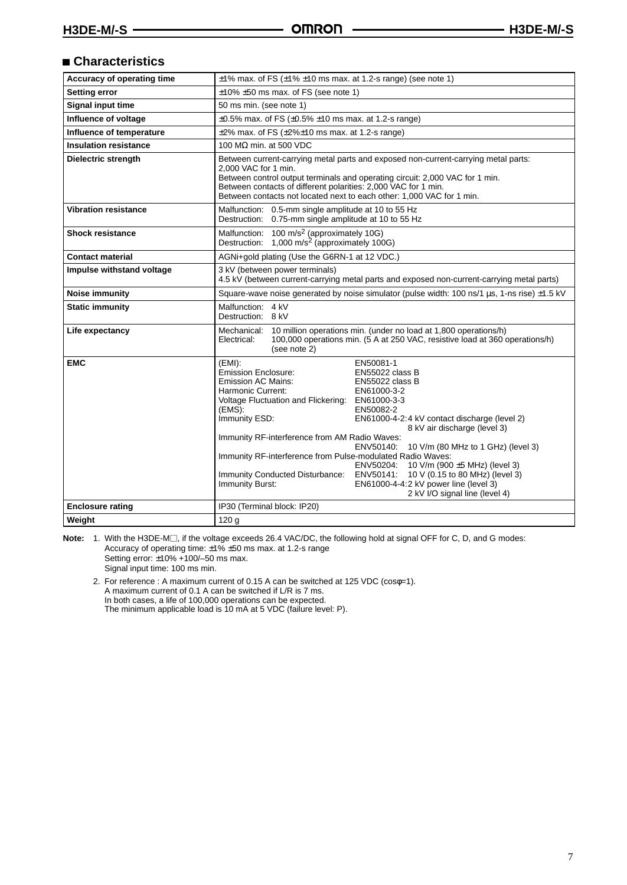## **Characteristics**

| Accuracy of operating time   | $\pm$ 1% max. of FS ( $\pm$ 1% $\pm$ 10 ms max. at 1.2-s range) (see note 1)                                                                                                                                                                                                                                                                                                                                                                                                                                                                                                                                                                                                                                                   |  |  |
|------------------------------|--------------------------------------------------------------------------------------------------------------------------------------------------------------------------------------------------------------------------------------------------------------------------------------------------------------------------------------------------------------------------------------------------------------------------------------------------------------------------------------------------------------------------------------------------------------------------------------------------------------------------------------------------------------------------------------------------------------------------------|--|--|
| <b>Setting error</b>         | $\pm$ 10% $\pm$ 50 ms max. of FS (see note 1)                                                                                                                                                                                                                                                                                                                                                                                                                                                                                                                                                                                                                                                                                  |  |  |
| <b>Signal input time</b>     | 50 ms min. (see note 1)                                                                                                                                                                                                                                                                                                                                                                                                                                                                                                                                                                                                                                                                                                        |  |  |
| Influence of voltage         | $\pm 0.5\%$ max. of FS ( $\pm 0.5\%$ $\pm 10$ ms max. at 1.2-s range)                                                                                                                                                                                                                                                                                                                                                                                                                                                                                                                                                                                                                                                          |  |  |
| Influence of temperature     | $\pm 2\%$ max. of FS ( $\pm 2\% \pm 10$ ms max. at 1.2-s range)                                                                                                                                                                                                                                                                                                                                                                                                                                                                                                                                                                                                                                                                |  |  |
| <b>Insulation resistance</b> | 100 M $\Omega$ min. at 500 VDC                                                                                                                                                                                                                                                                                                                                                                                                                                                                                                                                                                                                                                                                                                 |  |  |
| Dielectric strength          | Between current-carrying metal parts and exposed non-current-carrying metal parts:<br>2.000 VAC for 1 min.<br>Between control output terminals and operating circuit: 2,000 VAC for 1 min.<br>Between contacts of different polarities: 2,000 VAC for 1 min.<br>Between contacts not located next to each other: 1,000 VAC for 1 min.                                                                                                                                                                                                                                                                                                                                                                                          |  |  |
| <b>Vibration resistance</b>  | Malfunction: 0.5-mm single amplitude at 10 to 55 Hz<br>Destruction: 0.75-mm single amplitude at 10 to 55 Hz                                                                                                                                                                                                                                                                                                                                                                                                                                                                                                                                                                                                                    |  |  |
| <b>Shock resistance</b>      | Malfunction: 100 m/s <sup>2</sup> (approximately 10G)<br>Destruction: 1,000 m/s <sup>2</sup> (approximately 100G)                                                                                                                                                                                                                                                                                                                                                                                                                                                                                                                                                                                                              |  |  |
| <b>Contact material</b>      | AGNi+gold plating (Use the G6RN-1 at 12 VDC.)                                                                                                                                                                                                                                                                                                                                                                                                                                                                                                                                                                                                                                                                                  |  |  |
| Impulse withstand voltage    | 3 kV (between power terminals)<br>4.5 kV (between current-carrying metal parts and exposed non-current-carrying metal parts)                                                                                                                                                                                                                                                                                                                                                                                                                                                                                                                                                                                                   |  |  |
| Noise immunity               | Square-wave noise generated by noise simulator (pulse width: 100 ns/1 us, 1-ns rise) ±1.5 kV                                                                                                                                                                                                                                                                                                                                                                                                                                                                                                                                                                                                                                   |  |  |
| <b>Static immunity</b>       | Malfunction: 4 kV<br>Destruction: 8 kV                                                                                                                                                                                                                                                                                                                                                                                                                                                                                                                                                                                                                                                                                         |  |  |
| Life expectancy              | 10 million operations min. (under no load at 1,800 operations/h)<br>Mechanical:<br>100,000 operations min. (5 A at 250 VAC, resistive load at 360 operations/h)<br>Electrical:<br>(see note 2)                                                                                                                                                                                                                                                                                                                                                                                                                                                                                                                                 |  |  |
| <b>EMC</b>                   | EN50081-1<br>(EMI):<br>Emission Enclosure:<br>EN55022 class B<br>Emission AC Mains:<br>EN55022 class B<br>Harmonic Current:<br>EN61000-3-2<br>Voltage Fluctuation and Flickering:<br>EN61000-3-3<br>(EMS).<br>EN50082-2<br>Immunity ESD:<br>EN61000-4-2:4 kV contact discharge (level 2)<br>8 kV air discharge (level 3)<br>Immunity RF-interference from AM Radio Waves:<br>ENV50140:<br>10 V/m (80 MHz to 1 GHz) (level 3)<br>Immunity RF-interference from Pulse-modulated Radio Waves:<br>ENV50204:<br>10 V/m (900 $\pm$ 5 MHz) (level 3)<br>Immunity Conducted Disturbance:<br>10 V (0.15 to 80 MHz) (level 3)<br>ENV50141:<br>Immunity Burst:<br>EN61000-4-4:2 kV power line (level 3)<br>2 kV I/O signal line (level 4) |  |  |
| <b>Enclosure rating</b>      | IP30 (Terminal block: IP20)                                                                                                                                                                                                                                                                                                                                                                                                                                                                                                                                                                                                                                                                                                    |  |  |
| Weight                       | 120 <sub>g</sub>                                                                                                                                                                                                                                                                                                                                                                                                                                                                                                                                                                                                                                                                                                               |  |  |

Note: 1. With the H3DE-M<sub>,</sub> if the voltage exceeds 26.4 VAC/DC, the following hold at signal OFF for C, D, and G modes: Accuracy of operating time: ±1% ±50 ms max. at 1.2-s range Setting error: ±10% +100/–50 ms max. Signal input time: 100 ms min.

2. For reference : A maximum current of 0.15 A can be switched at 125 VDC (cosφ=1). A maximum current of 0.1 A can be switched if L/R is 7 ms. In both cases, a life of 100,000 operations can be expected. The minimum applicable load is 10 mA at 5 VDC (failure level: P).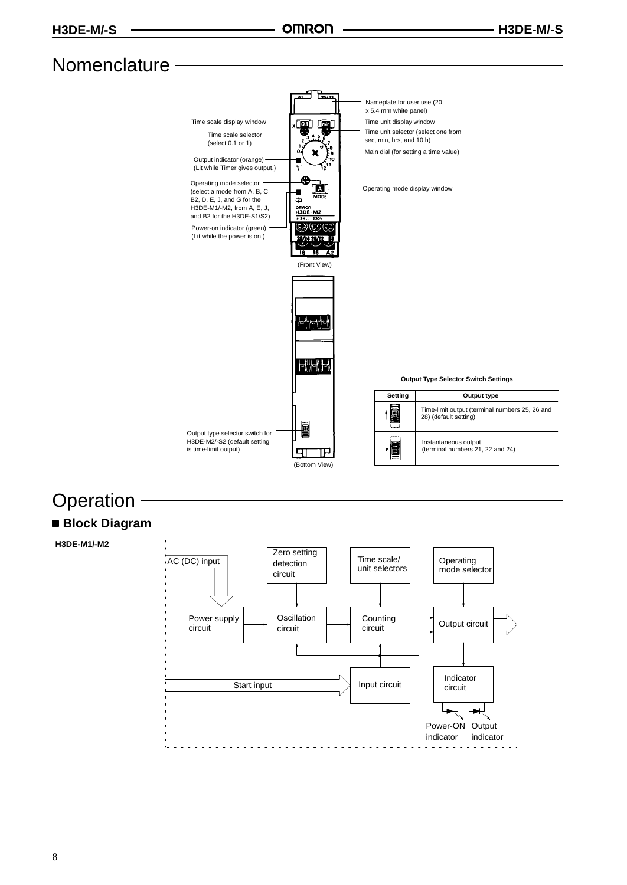## Nomenclature -



## **Operation**

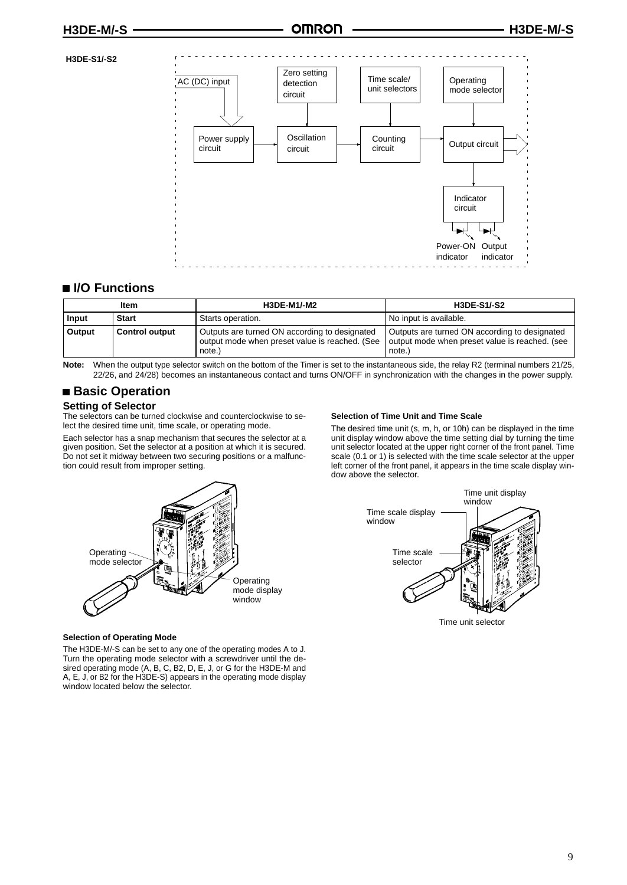#### **H3DE-S1/-S2**



#### **I/O Functions**

|        | ltem                  | <b>H3DE-M1/-M2</b>                                                                                        | <b>H3DE-S1/-S2</b>                                                                                       |
|--------|-----------------------|-----------------------------------------------------------------------------------------------------------|----------------------------------------------------------------------------------------------------------|
| Input  | <b>Start</b>          | Starts operation.                                                                                         | No input is available.                                                                                   |
| Output | <b>Control output</b> | Outputs are turned ON according to designated<br>output mode when preset value is reached. (See<br>note.) | Outputs are turned ON according to designated<br>output mode when preset value is reached. (see<br>note. |

Note: When the output type selector switch on the bottom of the Timer is set to the instantaneous side, the relay R2 (terminal numbers 21/25, 22/26, and 24/28) becomes an instantaneous contact and turns ON/OFF in synchronization with the changes in the power supply.

#### ■ Basic Operation

#### **Setting of Selector**

The selectors can be turned clockwise and counterclockwise to select the desired time unit, time scale, or operating mode.

Each selector has a snap mechanism that secures the selector at a given position. Set the selector at a position at which it is secured. Do not set it midway between two securing positions or a malfunction could result from improper setting.

#### **Selection of Time Unit and Time Scale**

The desired time unit (s, m, h, or 10h) can be displayed in the time unit display window above the time setting dial by turning the time unit selector located at the upper right corner of the front panel. Time scale (0.1 or 1) is selected with the time scale selector at the upper left corner of the front panel, it appears in the time scale display window above the selector.





#### **Selection of Operating Mode**

The H3DE-M/-S can be set to any one of the operating modes A to J. Turn the operating mode selector with a screwdriver until the desired operating mode (A, B, C, B2, D, E, J, or G for the H3DE-M and A, E, J, or B2 for the H3DE-S) appears in the operating mode display window located below the selector.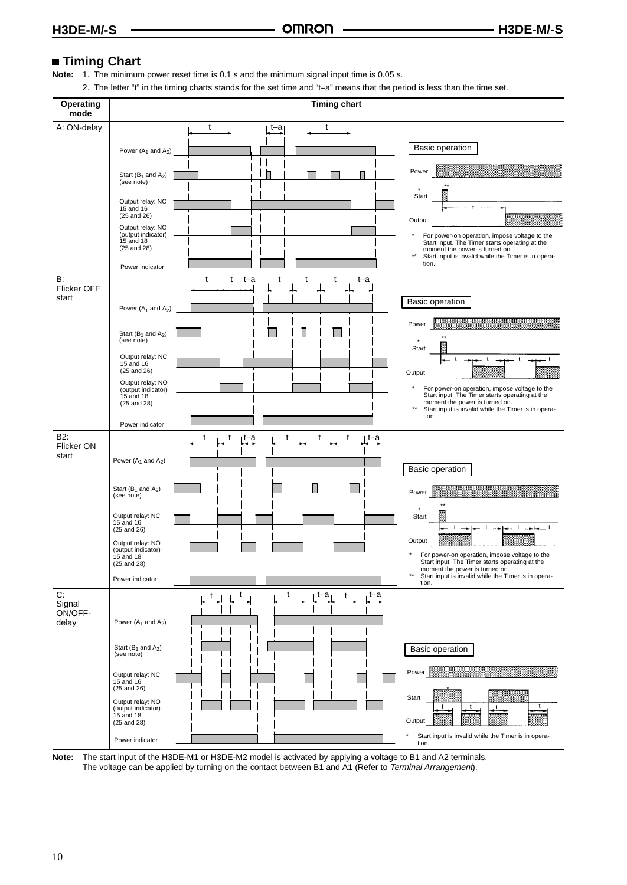## **Timing Chart**

**Note:** 1. The minimum power reset time is 0.1 s and the minimum signal input time is 0.05 s.

2. The letter "t" in the timing charts stands for the set time and "t–a" means that the period is less than the time set.

| Operating<br>mode                         |                                                                                                                                                                                                                                 | <b>Timing chart</b>                                   |                                                                                                                                                                                                                                                                                          |
|-------------------------------------------|---------------------------------------------------------------------------------------------------------------------------------------------------------------------------------------------------------------------------------|-------------------------------------------------------|------------------------------------------------------------------------------------------------------------------------------------------------------------------------------------------------------------------------------------------------------------------------------------------|
| A: ON-delay<br>B:<br>Flicker OFF<br>start | Power $(A_1 \text{ and } A_2)$<br>Start $(B_1 \text{ and } A_2)$<br>(see note)<br>Output relay: NC<br>15 and 16<br>$(25$ and $26)$<br>Output relay: NO<br>(output indicator)<br>15 and 18<br>$(25$ and $28)$<br>Power indicator | t<br>t<br>t–a⊺<br>t<br>t<br>t<br>t<br>t<br>t–a<br>t–a | Basic operation<br>Power<br>Start<br>Output<br>For power-on operation, impose voltage to the<br>Start input. The Timer starts operating at the<br>moment the power is turned on.<br>$^{\star\star}$<br>Start input is invalid while the Timer is in opera-<br>tion.<br>Basic operation   |
|                                           | Power $(A_1$ and $A_2)$<br>Start $(B_1$ and $A_2$ )<br>(see note)<br>Output relay: NC<br>15 and 16<br>$(25$ and $26)$<br>Output relay: NO<br>(output indicator)<br>15 and 18<br>(25 and 28)<br>Power indicator                  |                                                       | Power<br><u>mana mana</u><br>Start<br>Output<br>$^\star$<br>For power-on operation, impose voltage to the<br>Start input. The Timer starts operating at the<br>moment the power is turned on.<br>$^{\star\star}$<br>Start input is invalid while the Timer is in opera-<br>tion.         |
| B2:<br>Flicker ON<br>start                | Power $(A_1$ and $A_2)$<br>Start ( $B_1$ and $A_2$ )<br>(see note)<br>Output relay: NC<br>15 and 16<br>$(25$ and $26)$<br>Output relay: NO<br>(output indicator)<br>15 and 18<br>(25 and 28)<br>Power indicator                 | t<br>t<br>t<br>t<br>t<br>⊧t–a<br>t–a                  | Basic operation<br>Power<br>Start<br>$\mathbf{t}$<br>t<br>Output<br>For power-on operation, impose voltage to the<br>Start input. The Timer starts operating at the<br>moment the power is turned on.<br>$^{\star\star}$<br>Start input is invalid while the Timer is in opera-<br>tion. |
| C:<br>Signal<br>ON/OFF-<br>delay          | Power $(A_1$ and $A_2$ )<br>Start $(B_1$ and $A_2$ )<br>(see note)<br>Output relay: NC<br>15 and 16<br>$(25$ and $26)$<br>Output relay: NO<br>(output indicator)<br>15 and 18<br>(25 and 28)<br>Power indicator                 | t<br>t<br>t–a<br>t–a<br>t<br>t                        | Basic operation<br>Power<br>Start<br>Output<br>Start input is invalid while the Timer is in opera-<br>tion.                                                                                                                                                                              |

**Note:** The start input of the H3DE-M1 or H3DE-M2 model is activated by applying a voltage to B1 and A2 terminals. The voltage can be applied by turning on the contact between B1 and A1 (Refer to Terminal Arrangement).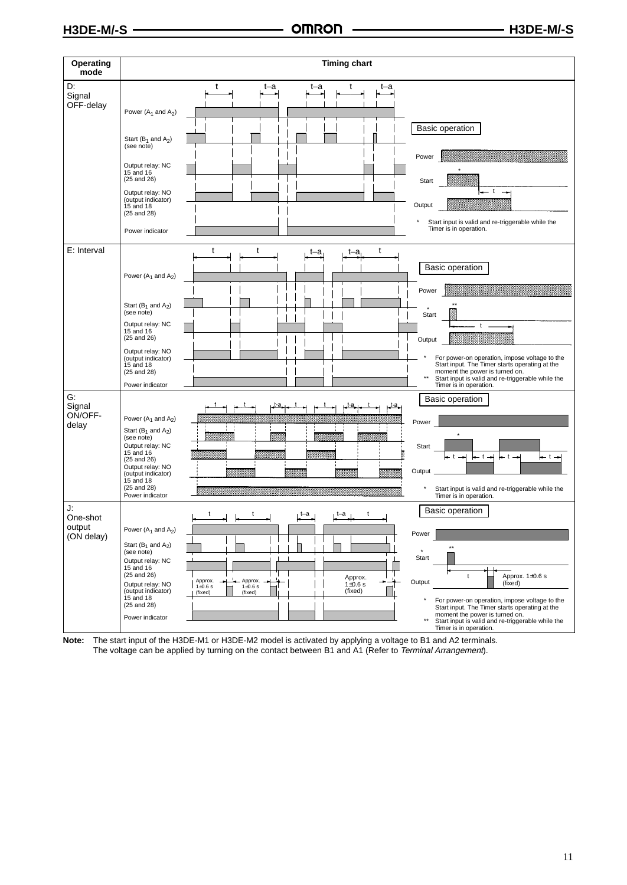| Operating<br>mode                      | <b>Timing chart</b>                                                                                                                                                                                                                                                                                                                                                                                                                                                                                                                                                                                                                                                |
|----------------------------------------|--------------------------------------------------------------------------------------------------------------------------------------------------------------------------------------------------------------------------------------------------------------------------------------------------------------------------------------------------------------------------------------------------------------------------------------------------------------------------------------------------------------------------------------------------------------------------------------------------------------------------------------------------------------------|
| D.<br>Signal<br>OFF-delay              | t<br>t–a<br>t–a<br>t–a<br>Power $(A_1 \text{ and } A_2)$<br>Basic operation<br>Start ( $B_1$ and $A_2$ )<br>(see note)<br>Power<br>Output relay: NC<br>15 and 16<br>$(25$ and $26)$<br>Start<br>Output relay: NO<br>(output indicator)<br>Output<br>15 and 18<br>$(25$ and $28)$<br>Start input is valid and re-triggerable while the<br>Timer is in operation.<br>Power indicator                                                                                                                                                                                                                                                                                 |
| E: Interval                            | t<br>t<br>t<br>t–a<br>t–a<br>Basic operation<br>Power $(A_1$ and $A_2$ )<br>Power<br>Start ( $B_1$ and $A_2$ )<br>(see note)<br>Start<br>Output relay: NC<br>$15$ and $16$<br>$(25$ and $26)$<br>Output<br>Output relay: NO<br>For power-on operation, impose voltage to the<br>(output indicator)<br>Start input. The Timer starts operating at the<br>15 and 18<br>moment the power is turned on.<br>$(25$ and $28)$<br>$\star\star$<br>Start input is valid and re-triggerable while the<br>Power indicator<br>Timer is in operation.                                                                                                                           |
| G.<br>Signal<br>ON/OFF-<br>delay       | <b>Basic operation</b><br>t-a.<br>Power $(A_1$ and $A_2)$<br>Power<br>Start ( $B_1$ and $A_2$ )<br>(see note)<br>Output relay: NC<br>Start<br>15 and 16<br>– t <del>– H</del><br>l— t—⊨<br>– t<br>t — <del>→</del><br>$(25$ and $26)$<br>Output relay: NO<br>Output<br>(output indicator)<br>15 and 18<br>$(25$ and $28)$<br>Start input is valid and re-triggerable while the<br>Power indicator<br>Timer is in operation.                                                                                                                                                                                                                                        |
| J:<br>One-shot<br>output<br>(ON delay) | Basic operation<br>Power $(A_1$ and $A_2)$<br>Power<br>Start ( $B_1$ and $A_2$ )<br>(see note)<br>Start<br>Output relay: NC<br>$15$ and $16$<br>$(25$ and $26)$<br>Approx. 1±0.6 s<br>Approx.<br>t<br>Approx.<br>Approx.<br>Output<br>÷<br>(fixed)<br>Output relay: NO<br>$1\pm0.6$ s<br>$1\pm0.6$ s<br>$1\pm 0.6$ s<br>(output indicator)<br>(fixed)<br>(fixed)<br>(fixed)<br>15 and 18<br>For power-on operation, impose voltage to the<br>$(25$ and $28)$<br>Start input. The Timer starts operating at the<br>moment the power is turned on.<br>Power indicator<br>$\star\star$<br>Start input is valid and re-triggerable while the<br>Timer is in operation. |

**Note:** The start input of the H3DE-M1 or H3DE-M2 model is activated by applying a voltage to B1 and A2 terminals. The voltage can be applied by turning on the contact between B1 and A1 (Refer to *Terminal Arrangement*).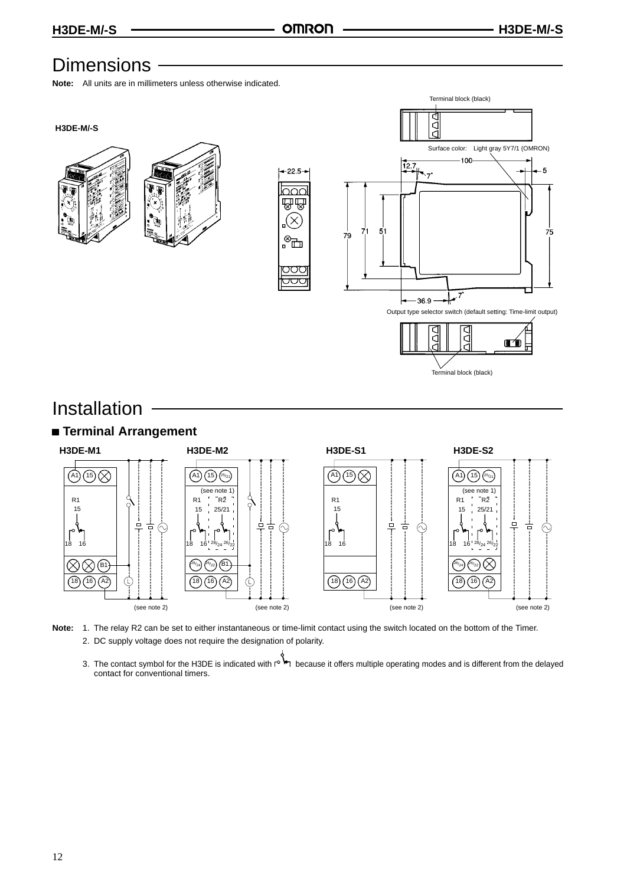## **Dimensions**

**Note:** All units are in millimeters unless otherwise indicated.



## Installation



- **Note:** 1. The relay R2 can be set to either instantaneous or time-limit contact using the switch located on the bottom of the Timer. 2. DC supply voltage does not require the designation of polarity.
	- 3. The contact symbol for the H3DE is indicated with retaing because it offers multiple operating modes and is different from the delayed contact for conventional timers.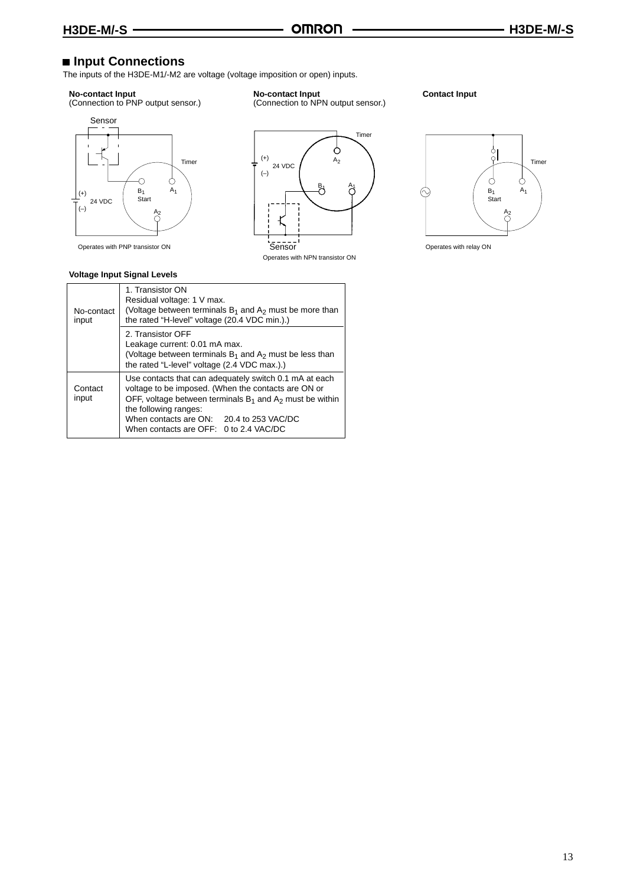(Connection to NPN output sensor.)

## ■ Input Connections

The inputs of the H3DE-M1/-M2 are voltage (voltage imposition or open) inputs.

#### **No-contact Input**

(Connection to PNP output sensor.)



#### **Voltage Input Signal Levels**



**No-contact Input**

Operates with NPN transistor ON

**Contact Input**



| No-contact<br>input | 1. Transistor ON<br>Residual voltage: 1 V max.<br>(Voltage between terminals $B_1$ and $A_2$ must be more than<br>the rated "H-level" voltage (20.4 VDC min.).)                                                                                                                               |  |  |
|---------------------|-----------------------------------------------------------------------------------------------------------------------------------------------------------------------------------------------------------------------------------------------------------------------------------------------|--|--|
|                     | 2. Transistor OFF<br>Leakage current: 0.01 mA max.<br>(Voltage between terminals $B_1$ and $A_2$ must be less than<br>the rated "L-level" voltage (2.4 VDC max.).)                                                                                                                            |  |  |
| Contact<br>input    | Use contacts that can adequately switch 0.1 mA at each<br>voltage to be imposed. (When the contacts are ON or<br>OFF, voltage between terminals $B_1$ and $A_2$ must be within<br>the following ranges:<br>When contacts are ON: 20.4 to 253 VAC/DC<br>When contacts are OFF: 0 to 2.4 VAC/DC |  |  |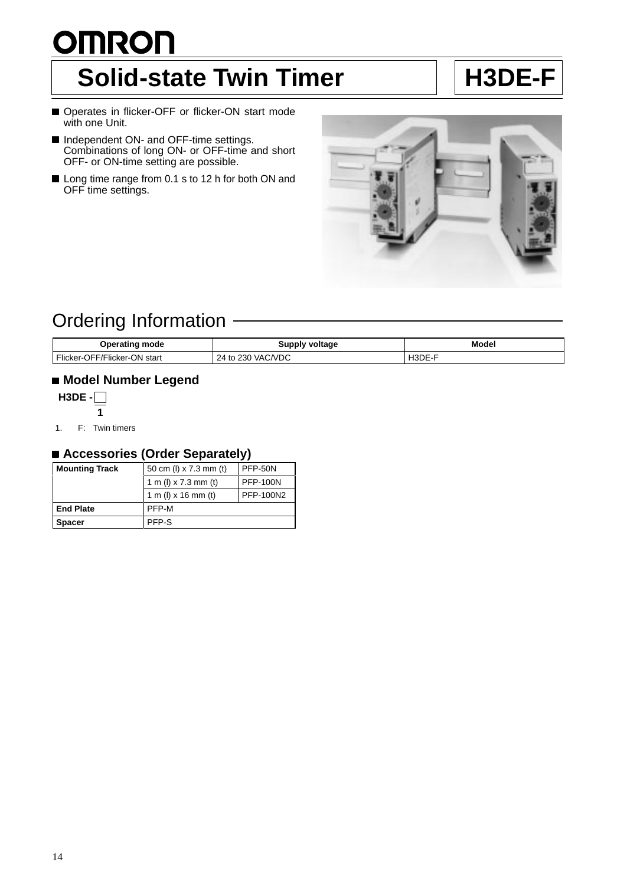# <span id="page-10-0"></span>**OMRON** Solid-state Twin Timer | | H3DE-F

- Operates in flicker-OFF or flicker-ON start mode with one Unit.
- Independent ON- and OFF-time settings. Combinations of long ON- or OFF-time and short OFF- or ON-time setting are possible.
- Long time range from 0.1 s to 12 h for both ON and OFF time settings.



## Ordering Information

| Operating mode               | Supply voltage    | <b>Model</b><br>. |
|------------------------------|-------------------|-------------------|
| Flicker-OFF/Flicker-ON start | 24 to 230 VAC/VDC | H3DE-F            |

## **Model Number Legend**



1. F: Twin timers

## **Accessories (Order Separately)**

| <b>Mounting Track</b> | 50 cm (l) x 7.3 mm (t) | PFP-50N         |
|-----------------------|------------------------|-----------------|
|                       | 1 m (l) x 7.3 mm (t)   | <b>PFP-100N</b> |
|                       | 1 m (l) x 16 mm (t)    | PFP-100N2       |
| <b>End Plate</b>      | PFP-M                  |                 |
| <b>Spacer</b>         | PFP-S                  |                 |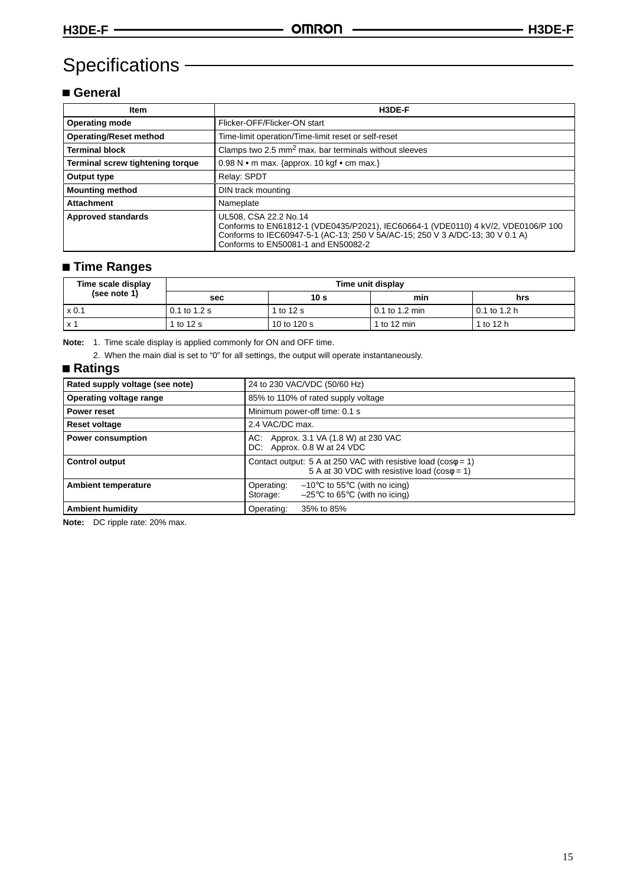## Specifications – **Container Specifications**

## **General**

| <b>Item</b>                      | H3DE-F                                                                                                                                                                                                                             |
|----------------------------------|------------------------------------------------------------------------------------------------------------------------------------------------------------------------------------------------------------------------------------|
| <b>Operating mode</b>            | Flicker-OFF/Flicker-ON start                                                                                                                                                                                                       |
| <b>Operating/Reset method</b>    | Time-limit operation/Time-limit reset or self-reset                                                                                                                                                                                |
| <b>Terminal block</b>            | Clamps two 2.5 mm <sup>2</sup> max. bar terminals without sleeves                                                                                                                                                                  |
| Terminal screw tightening torque | 0.98 N $\bullet$ m max. {approx. 10 kgf $\bullet$ cm max.}                                                                                                                                                                         |
| Output type                      | Relay: SPDT                                                                                                                                                                                                                        |
| <b>Mounting method</b>           | DIN track mounting                                                                                                                                                                                                                 |
| <b>Attachment</b>                | Nameplate                                                                                                                                                                                                                          |
| <b>Approved standards</b>        | UL508, CSA 22.2 No.14<br>Conforms to EN61812-1 (VDE0435/P2021), IEC60664-1 (VDE0110) 4 kV/2, VDE0106/P 100<br>Conforms to IEC60947-5-1 (AC-13; 250 V 5A/AC-15; 250 V 3 A/DC-13; 30 V 0.1 A)<br>Conforms to EN50081-1 and EN50082-2 |

## **Time Ranges**

| Time scale display | Time unit display |             |                |                |
|--------------------|-------------------|-------------|----------------|----------------|
| (see note 1)       | sec               | 10 s        | min            | hrs            |
| $\times 0.1$       | 0.1 to 1.2 s      | 1 to 12 s   | 0.1 to 1.2 min | $0.1$ to 1.2 h |
| x 1                | 1 to 12 s         | 10 to 120 s | 1 to 12 min    | 1 to 12 h      |

**Note:** 1. Time scale display is applied commonly for ON and OFF time.

2. When the main dial is set to "0" for all settings, the output will operate instantaneously.

### **Ratings**

| Rated supply voltage (see note) | 24 to 230 VAC/VDC (50/60 Hz)                                                                                                       |  |
|---------------------------------|------------------------------------------------------------------------------------------------------------------------------------|--|
| Operating voltage range         | 85% to 110% of rated supply voltage                                                                                                |  |
| Power reset                     | Minimum power-off time: 0.1 s                                                                                                      |  |
| <b>Reset voltage</b>            | 2.4 VAC/DC max.                                                                                                                    |  |
| <b>Power consumption</b>        | Approx. 3.1 VA (1.8 W) at 230 VAC<br>AC:<br>DC: Approx. 0.8 W at 24 VDC                                                            |  |
| <b>Control output</b>           | Contact output: 5 A at 250 VAC with resistive load ( $cos\phi = 1$ )<br>5 A at 30 VDC with resistive load ( $cos\phi = 1$ )        |  |
| <b>Ambient temperature</b>      | $-10^{\circ}$ C to 55 $^{\circ}$ C (with no icing)<br>Operating:<br>$-25^{\circ}$ C to 65 $^{\circ}$ C (with no icing)<br>Storage: |  |
| <b>Ambient humidity</b>         | Operating:<br>35% to 85%                                                                                                           |  |

**Note:** DC ripple rate: 20% max.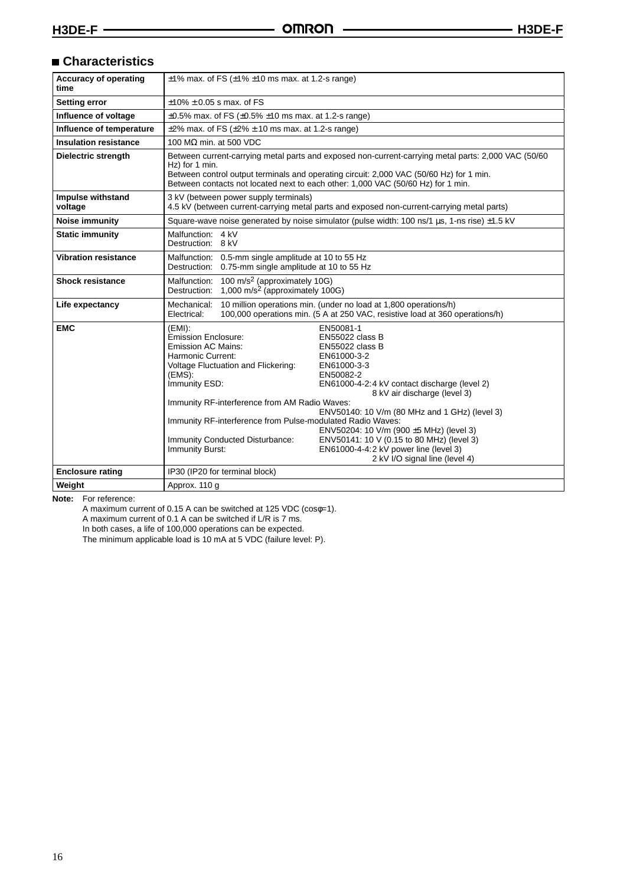## **Characteristics**

| <b>Accuracy of operating</b><br>time | $\pm$ 1% max. of FS ( $\pm$ 1% $\pm$ 10 ms max. at 1.2-s range)                                                                                                                                                                                                                                                                         |                                                                                                                                                                                                                                                                                                                                                                                                |
|--------------------------------------|-----------------------------------------------------------------------------------------------------------------------------------------------------------------------------------------------------------------------------------------------------------------------------------------------------------------------------------------|------------------------------------------------------------------------------------------------------------------------------------------------------------------------------------------------------------------------------------------------------------------------------------------------------------------------------------------------------------------------------------------------|
| <b>Setting error</b>                 | $\pm$ 10% $\pm$ 0.05 s max, of FS                                                                                                                                                                                                                                                                                                       |                                                                                                                                                                                                                                                                                                                                                                                                |
| Influence of voltage                 | $\pm 0.5\%$ max. of FS ( $\pm 0.5\%$ $\pm 10$ ms max. at 1.2-s range)                                                                                                                                                                                                                                                                   |                                                                                                                                                                                                                                                                                                                                                                                                |
| Influence of temperature             | $\pm$ 2% max. of FS ( $\pm$ 2% $\pm$ 10 ms max. at 1.2-s range)                                                                                                                                                                                                                                                                         |                                                                                                                                                                                                                                                                                                                                                                                                |
| <b>Insulation resistance</b>         | 100 M $\Omega$ min. at 500 VDC                                                                                                                                                                                                                                                                                                          |                                                                                                                                                                                                                                                                                                                                                                                                |
| <b>Dielectric strength</b>           | Between current-carrying metal parts and exposed non-current-carrying metal parts: 2,000 VAC (50/60<br>Hz) for 1 min.<br>Between control output terminals and operating circuit: 2,000 VAC (50/60 Hz) for 1 min.<br>Between contacts not located next to each other: 1,000 VAC (50/60 Hz) for 1 min.                                    |                                                                                                                                                                                                                                                                                                                                                                                                |
| Impulse withstand<br>voltage         | 3 kV (between power supply terminals)                                                                                                                                                                                                                                                                                                   | 4.5 kV (between current-carrying metal parts and exposed non-current-carrying metal parts)                                                                                                                                                                                                                                                                                                     |
| <b>Noise immunity</b>                |                                                                                                                                                                                                                                                                                                                                         | Square-wave noise generated by noise simulator (pulse width: 100 ns/1 us, 1-ns rise) ±1.5 kV                                                                                                                                                                                                                                                                                                   |
| <b>Static immunity</b>               | Malfunction: 4 kV<br>Destruction: 8 kV                                                                                                                                                                                                                                                                                                  |                                                                                                                                                                                                                                                                                                                                                                                                |
| <b>Vibration resistance</b>          | Malfunction: 0.5-mm single amplitude at 10 to 55 Hz<br>Destruction: 0.75-mm single amplitude at 10 to 55 Hz                                                                                                                                                                                                                             |                                                                                                                                                                                                                                                                                                                                                                                                |
| <b>Shock resistance</b>              | 100 m/s <sup>2</sup> (approximately 10G)<br>Malfunction:<br>1,000 m/s <sup>2</sup> (approximately 100G)<br>Destruction:                                                                                                                                                                                                                 |                                                                                                                                                                                                                                                                                                                                                                                                |
| Life expectancy                      | 10 million operations min. (under no load at 1,800 operations/h)<br>Mechanical:<br>100,000 operations min. (5 A at 250 VAC, resistive load at 360 operations/h)<br>Electrical:                                                                                                                                                          |                                                                                                                                                                                                                                                                                                                                                                                                |
| <b>EMC</b>                           | $(EMI)$ :<br><b>Emission Enclosure:</b><br><b>Emission AC Mains:</b><br>Harmonic Current:<br>Voltage Fluctuation and Flickering:<br>(EMS):<br>Immunity ESD:<br>Immunity RF-interference from AM Radio Waves:<br>Immunity RF-interference from Pulse-modulated Radio Waves:<br>Immunity Conducted Disturbance:<br><b>Immunity Burst:</b> | EN50081-1<br>EN55022 class B<br>EN55022 class B<br>EN61000-3-2<br>EN61000-3-3<br>EN50082-2<br>EN61000-4-2:4 kV contact discharge (level 2)<br>8 kV air discharge (level 3)<br>ENV50140: 10 V/m (80 MHz and 1 GHz) (level 3)<br>ENV50204: 10 V/m (900 ±5 MHz) (level 3)<br>ENV50141: 10 V (0.15 to 80 MHz) (level 3)<br>EN61000-4-4:2 kV power line (level 3)<br>2 kV I/O signal line (level 4) |
| <b>Enclosure rating</b>              | IP30 (IP20 for terminal block)                                                                                                                                                                                                                                                                                                          |                                                                                                                                                                                                                                                                                                                                                                                                |
| Weight                               | Approx. 110 g                                                                                                                                                                                                                                                                                                                           |                                                                                                                                                                                                                                                                                                                                                                                                |

**Note:** For reference:

A maximum current of 0.15 A can be switched at 125 VDC (cosφ=1).

A maximum current of 0.1 A can be switched if L/R is 7 ms.

In both cases, a life of 100,000 operations can be expected.

The minimum applicable load is 10 mA at 5 VDC (failure level: P).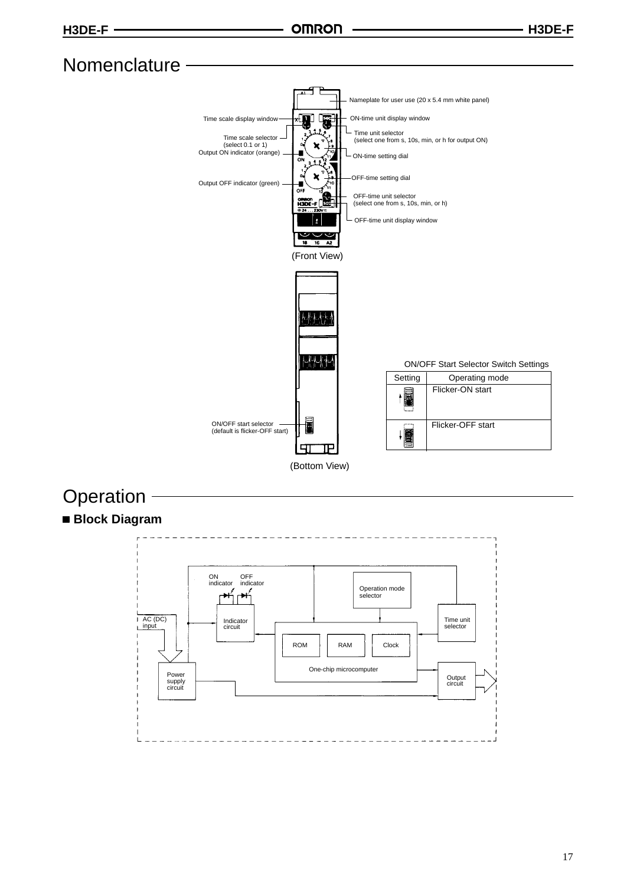## Nomenclature -



## **Operation**



17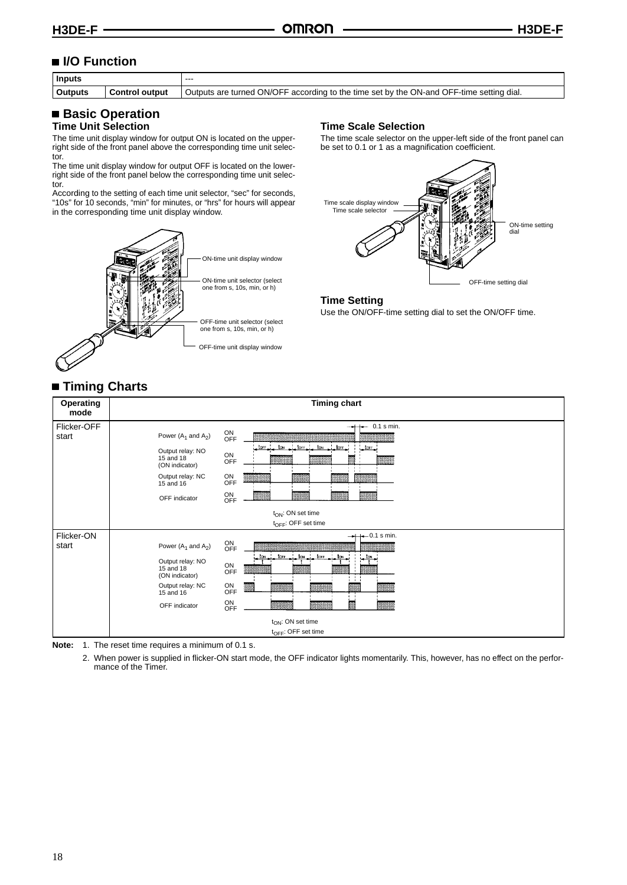## ■ **I/O Function**

| <b>Inputs</b>                           |  | $- - -$                                                                                  |
|-----------------------------------------|--|------------------------------------------------------------------------------------------|
| <b>Outputs</b><br><b>Control output</b> |  | Outputs are turned ON/OFF according to the time set by the ON-and OFF-time setting dial. |
|                                         |  |                                                                                          |

#### **Basic Operation Time Unit Selection**

The time unit display window for output ON is located on the upperright side of the front panel above the corresponding time unit selector.

The time unit display window for output OFF is located on the lowerright side of the front panel below the corresponding time unit selector.

According to the setting of each time unit selector, "sec" for seconds, "10s" for 10 seconds, "min" for minutes, or "hrs" for hours will appear in the corresponding time unit display window.



#### **Time Scale Selection**

The time scale selector on the upper-left side of the front panel can be set to 0.1 or 1 as a magnification coefficient.



#### **Time Setting**

Use the ON/OFF-time setting dial to set the ON/OFF time.

## **Timing Charts**

| Operating<br>mode    | <b>Timing chart</b>                                                                                                                                                                                                                                                                                                                                     |
|----------------------|---------------------------------------------------------------------------------------------------------------------------------------------------------------------------------------------------------------------------------------------------------------------------------------------------------------------------------------------------------|
| Flicker-OFF<br>start | $+- 0.1$ s min.<br>ON<br>OFF<br>Power $(A_1$ and $A_2$ )<br>torr<br>tow.<br>torr.<br>$tor-$<br>tow.<br>$L$ LOFF<br>Output relay: NO<br>ON<br>OFF<br>$15$ and $18$<br>隬<br>(ON indicator)<br>$1 - 1 - 1$<br>$1 - 1$<br>ON<br>Output relay: NC<br>. .<br><b>OFF</b><br>$15$ and $16$<br>ON<br>OFF<br>œ<br>×<br>OFF indicator                              |
|                      | $t_{ON}$ : ON set time                                                                                                                                                                                                                                                                                                                                  |
|                      | t <sub>OFF</sub> : OFF set time                                                                                                                                                                                                                                                                                                                         |
| Flicker-ON<br>start  | $\leftarrow$ 0.1 s min.<br>ON<br>OFF<br>Power $(A_1$ and $A_2$ )<br>ton tore<br>$\pm$ tow $\pm$<br>torr<br>to .<br>$_{\circ}$ tow<br>Output relay: NO<br>ON<br>15 and 18<br><b>OFF</b><br>(ON indicator)<br>$1 - 1 - 1$<br>- 1<br>$_{\mathrm{OFF}}^{\mathrm{ON}}$<br>Output relay: NC<br>欼<br>15 and 16<br>ON<br>闗<br>œ.<br>OFF indicator<br><b>OFF</b> |
|                      | $t_{ON}$ : ON set time                                                                                                                                                                                                                                                                                                                                  |
|                      | $t_{\text{OFF}}$ : OFF set time                                                                                                                                                                                                                                                                                                                         |

**Note:** 1. The reset time requires a minimum of 0.1 s.

2. When power is supplied in flicker-ON start mode, the OFF indicator lights momentarily. This, however, has no effect on the performance of the Timer.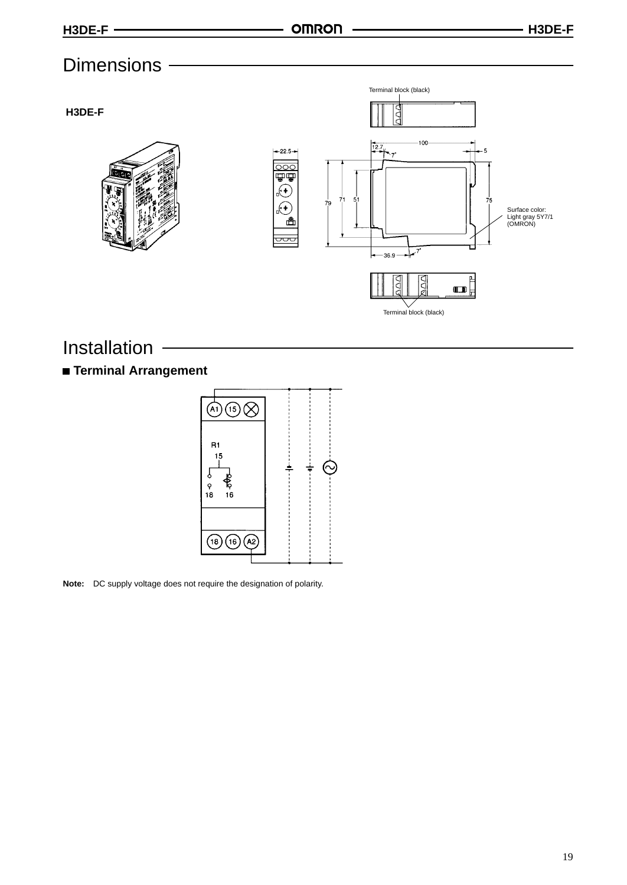## **Dimensions**









## Installation

## **Terminal Arrangement**



**Note:** DC supply voltage does not require the designation of polarity.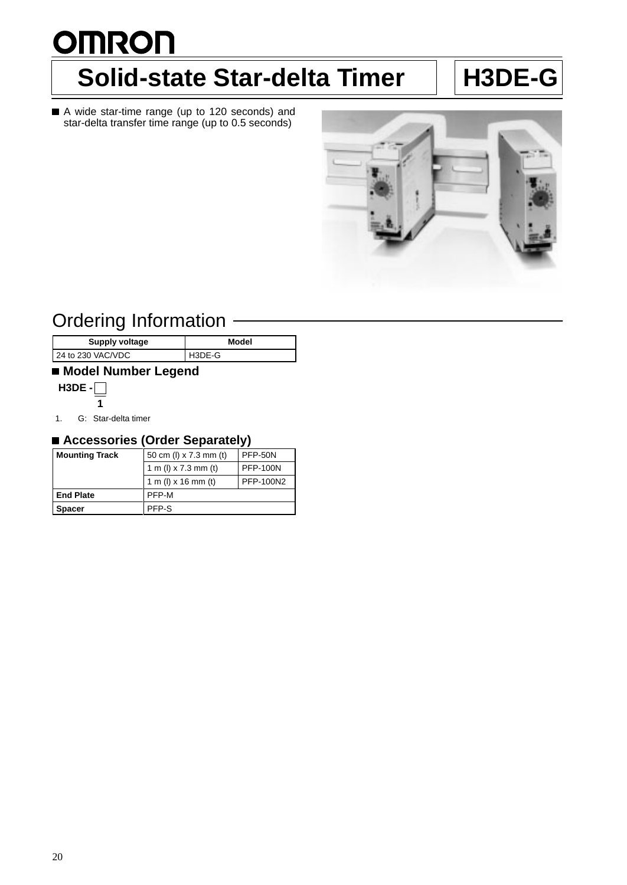# <span id="page-16-0"></span>**OMRON Solid-state Star-delta Timer | H3DE-G**

A wide star-time range (up to 120 seconds) and star-delta transfer time range (up to 0.5 seconds)



## Ordering Information

| Supply voltage    | Model  |
|-------------------|--------|
| 24 to 230 VAC/VDC | H3DE-G |
|                   |        |

## **Model Number Legend**



1. G: Star-delta timer

## **Accessories (Order Separately)**

| <b>Mounting Track</b> | 50 cm (l) x 7.3 mm (t) | <b>PFP-50N</b>  |
|-----------------------|------------------------|-----------------|
|                       | 1 m (l) x 7.3 mm (t)   | <b>PFP-100N</b> |
|                       | 1 m (l) x 16 mm (t)    | PFP-100N2       |
| <b>End Plate</b>      | PFP-M                  |                 |
| <b>Spacer</b>         | PFP-S                  |                 |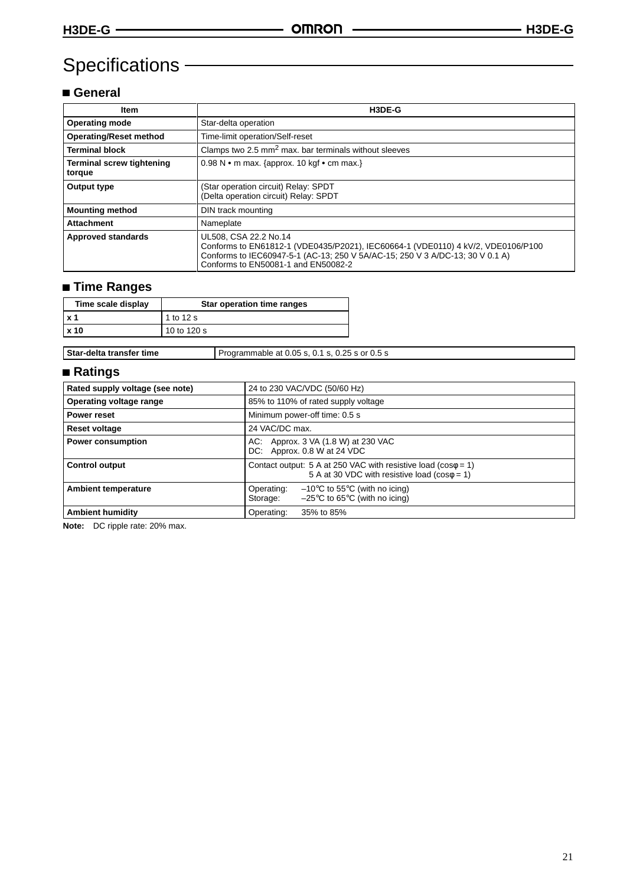## Specifications -

## **General**

| Item                                | H3DE-G                                                                                                                                                                                                                            |
|-------------------------------------|-----------------------------------------------------------------------------------------------------------------------------------------------------------------------------------------------------------------------------------|
| <b>Operating mode</b>               | Star-delta operation                                                                                                                                                                                                              |
| <b>Operating/Reset method</b>       | Time-limit operation/Self-reset                                                                                                                                                                                                   |
| <b>Terminal block</b>               | Clamps two $2.5 \text{ mm}^2$ max. bar terminals without sleeves                                                                                                                                                                  |
| Terminal screw tightening<br>torque | 0.98 N • m max. {approx. 10 kgf • cm max.}                                                                                                                                                                                        |
| Output type                         | (Star operation circuit) Relay: SPDT<br>(Delta operation circuit) Relay: SPDT                                                                                                                                                     |
| <b>Mounting method</b>              | DIN track mounting                                                                                                                                                                                                                |
| <b>Attachment</b>                   | Nameplate                                                                                                                                                                                                                         |
| <b>Approved standards</b>           | UL508, CSA 22.2 No.14<br>Conforms to EN61812-1 (VDE0435/P2021), IEC60664-1 (VDE0110) 4 kV/2, VDE0106/P100<br>Conforms to IEC60947-5-1 (AC-13; 250 V 5A/AC-15; 250 V 3 A/DC-13; 30 V 0.1 A)<br>Conforms to EN50081-1 and EN50082-2 |

## **Time Ranges**

| Time scale display | Star operation time ranges |
|--------------------|----------------------------|
| x <sub>1</sub>     | 1 to 12 s                  |
| <b>x 10</b>        | 10 to 120 s                |

**Star-delta transfer time** Programmable at 0.05 s, 0.1 s, 0.25 s or 0.5 s

## **Ratings**

| Rated supply voltage (see note) | 24 to 230 VAC/VDC (50/60 Hz)                                                                                                       |  |
|---------------------------------|------------------------------------------------------------------------------------------------------------------------------------|--|
| Operating voltage range         | 85% to 110% of rated supply voltage                                                                                                |  |
| Power reset                     | Minimum power-off time: 0.5 s                                                                                                      |  |
| <b>Reset voltage</b>            | 24 VAC/DC max.                                                                                                                     |  |
| <b>Power consumption</b>        | Approx. 3 VA (1.8 W) at 230 VAC<br>AC.<br>DC: Approx. 0.8 W at 24 VDC                                                              |  |
| <b>Control output</b>           | Contact output: 5 A at 250 VAC with resistive load ( $cos\phi = 1$ )<br>5 A at 30 VDC with resistive load ( $cos\phi = 1$ )        |  |
| <b>Ambient temperature</b>      | $-10^{\circ}$ C to 55 $^{\circ}$ C (with no icing)<br>Operating:<br>$-25^{\circ}$ C to 65 $^{\circ}$ C (with no icing)<br>Storage: |  |
| <b>Ambient humidity</b>         | Operating:<br>35% to 85%                                                                                                           |  |

**Note:** DC ripple rate: 20% max.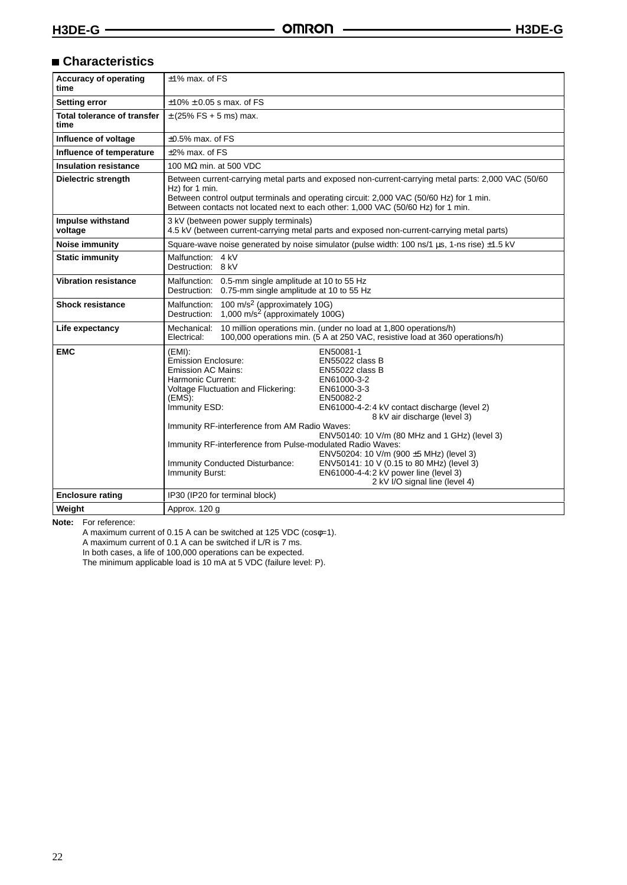## **Characteristics**

| <b>Accuracy of operating</b><br>time       | $±1\%$ max. of FS                                                                                                                                                                                                                                                                                                                                                                                                                                                                                                                                                                                                                                                                                                           |  |  |
|--------------------------------------------|-----------------------------------------------------------------------------------------------------------------------------------------------------------------------------------------------------------------------------------------------------------------------------------------------------------------------------------------------------------------------------------------------------------------------------------------------------------------------------------------------------------------------------------------------------------------------------------------------------------------------------------------------------------------------------------------------------------------------------|--|--|
| <b>Setting error</b>                       | $±10\% ± 0.05$ s max. of FS                                                                                                                                                                                                                                                                                                                                                                                                                                                                                                                                                                                                                                                                                                 |  |  |
| <b>Total tolerance of transfer</b><br>time | $\pm$ (25% FS + 5 ms) max.                                                                                                                                                                                                                                                                                                                                                                                                                                                                                                                                                                                                                                                                                                  |  |  |
| Influence of voltage                       | $\pm 0.5\%$ max, of FS                                                                                                                                                                                                                                                                                                                                                                                                                                                                                                                                                                                                                                                                                                      |  |  |
| Influence of temperature                   | $±2\%$ max. of FS                                                                                                                                                                                                                                                                                                                                                                                                                                                                                                                                                                                                                                                                                                           |  |  |
| <b>Insulation resistance</b>               | 100 M $\Omega$ min. at 500 VDC                                                                                                                                                                                                                                                                                                                                                                                                                                                                                                                                                                                                                                                                                              |  |  |
| Dielectric strength                        | Between current-carrying metal parts and exposed non-current-carrying metal parts: 2,000 VAC (50/60<br>Hz) for 1 min.<br>Between control output terminals and operating circuit: 2,000 VAC (50/60 Hz) for 1 min.<br>Between contacts not located next to each other: 1,000 VAC (50/60 Hz) for 1 min.                                                                                                                                                                                                                                                                                                                                                                                                                        |  |  |
| Impulse withstand<br>voltage               | 3 kV (between power supply terminals)<br>4.5 kV (between current-carrying metal parts and exposed non-current-carrying metal parts)                                                                                                                                                                                                                                                                                                                                                                                                                                                                                                                                                                                         |  |  |
| <b>Noise immunity</b>                      | Square-wave noise generated by noise simulator (pulse width: 100 ns/1 us, 1-ns rise) ±1.5 kV                                                                                                                                                                                                                                                                                                                                                                                                                                                                                                                                                                                                                                |  |  |
| <b>Static immunity</b>                     | Malfunction: 4 kV<br>Destruction: 8 kV                                                                                                                                                                                                                                                                                                                                                                                                                                                                                                                                                                                                                                                                                      |  |  |
| <b>Vibration resistance</b>                | Malfunction: 0.5-mm single amplitude at 10 to 55 Hz<br>Destruction: 0.75-mm single amplitude at 10 to 55 Hz                                                                                                                                                                                                                                                                                                                                                                                                                                                                                                                                                                                                                 |  |  |
| <b>Shock resistance</b>                    | 100 m/s <sup>2</sup> (approximately 10G)<br>Malfunction:<br>1,000 m/s <sup>2</sup> (approximately 100G)<br>Destruction:                                                                                                                                                                                                                                                                                                                                                                                                                                                                                                                                                                                                     |  |  |
| Life expectancy                            | 10 million operations min. (under no load at 1,800 operations/h)<br>Mechanical:<br>100,000 operations min. (5 A at 250 VAC, resistive load at 360 operations/h)<br>Electrical:                                                                                                                                                                                                                                                                                                                                                                                                                                                                                                                                              |  |  |
| <b>EMC</b>                                 | $(EMI)$ :<br>EN50081-1<br><b>Emission Enclosure:</b><br>EN55022 class B<br>Emission AC Mains:<br>EN55022 class B<br>Harmonic Current:<br>EN61000-3-2<br>Voltage Fluctuation and Flickering:<br>EN61000-3-3<br>(EMS):<br>EN50082-2<br>Immunity ESD:<br>EN61000-4-2:4 kV contact discharge (level 2)<br>8 kV air discharge (level 3)<br>Immunity RF-interference from AM Radio Waves:<br>ENV50140: 10 V/m (80 MHz and 1 GHz) (level 3)<br>Immunity RF-interference from Pulse-modulated Radio Waves:<br>ENV50204: 10 V/m (900 ±5 MHz) (level 3)<br>ENV50141: 10 V (0.15 to 80 MHz) (level 3)<br>Immunity Conducted Disturbance:<br>Immunity Burst:<br>EN61000-4-4:2 kV power line (level 3)<br>2 kV I/O signal line (level 4) |  |  |
| <b>Enclosure rating</b>                    | IP30 (IP20 for terminal block)                                                                                                                                                                                                                                                                                                                                                                                                                                                                                                                                                                                                                                                                                              |  |  |
| Weight                                     | Approx. 120 g                                                                                                                                                                                                                                                                                                                                                                                                                                                                                                                                                                                                                                                                                                               |  |  |

**Note:** For reference:

A maximum current of 0.15 A can be switched at 125 VDC (cosφ=1).

A maximum current of 0.1 A can be switched if L/R is 7 ms.

In both cases, a life of 100,000 operations can be expected.

The minimum applicable load is 10 mA at 5 VDC (failure level: P).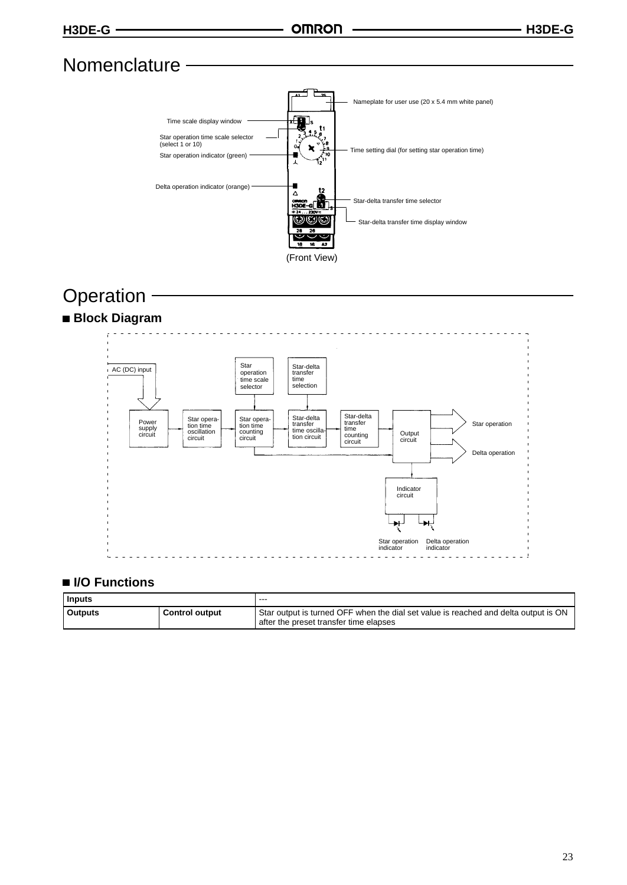## **Nomenclature**



## **Operation**





## **I/O Functions**

| Inputs         |                       | ---                                                                                                                           |
|----------------|-----------------------|-------------------------------------------------------------------------------------------------------------------------------|
| <b>Outputs</b> | <b>Control output</b> | Star output is turned OFF when the dial set value is reached and delta output is ON<br>after the preset transfer time elapses |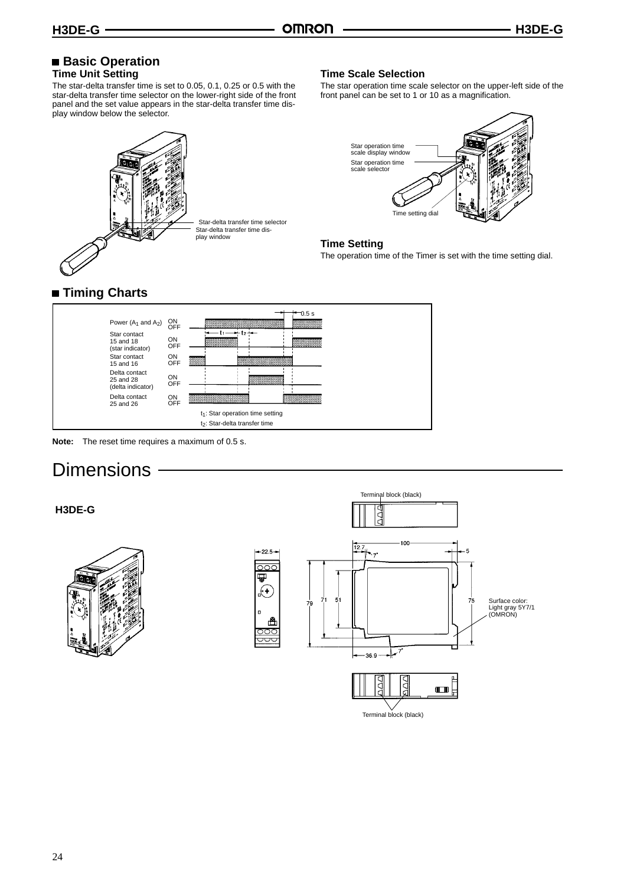#### **Basic Operation Time Unit Setting**

The star-delta transfer time is set to 0.05, 0.1, 0.25 or 0.5 with the star-delta transfer time selector on the lower-right side of the front panel and the set value appears in the star-delta transfer time display window below the selector.



#### **Time Scale Selection**

The star operation time scale selector on the upper-left side of the front panel can be set to 1 or 10 as a magnification.



#### **Time Setting**

The operation time of the Timer is set with the time setting dial.

## **Timing Charts**



**Note:** The reset time requires a maximum of 0.5 s.

## **Dimensions**

## Terminal block (black) **H3DE-G** 100  $12.7$  $-22.5 \overline{\curvearrowright}$ ₩  $\bigoplus$  $51$ Surface color: Light gray 5Y7/1 (OMRON) 36.9  $\blacksquare$ Terminal block (black)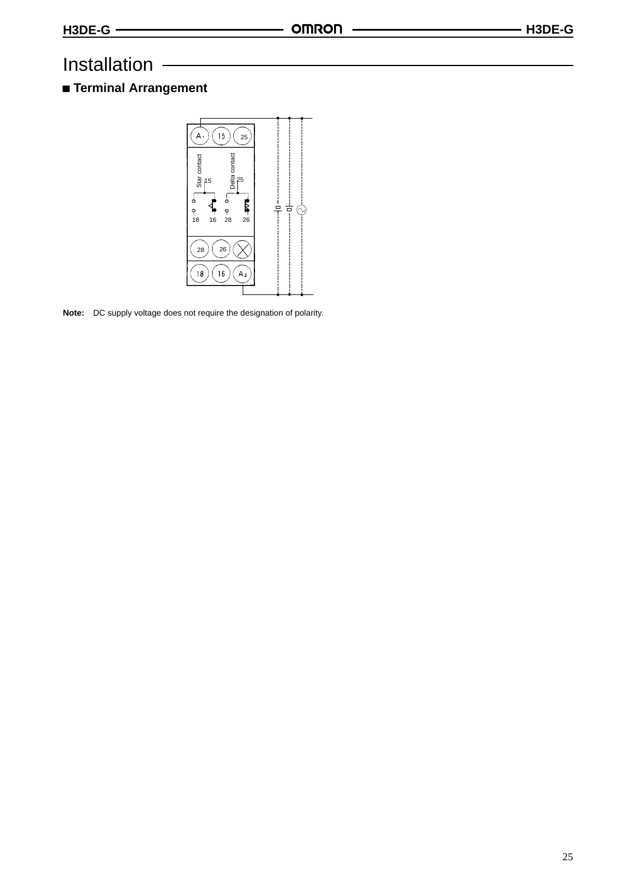## Installation

## **Terminal Arrangement**



**Note:** DC supply voltage does not require the designation of polarity.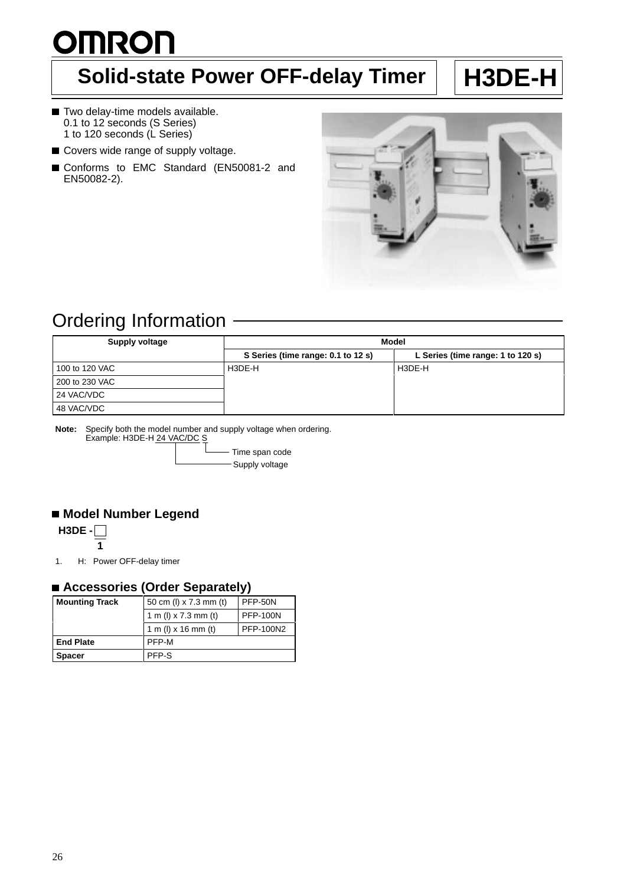# <span id="page-22-0"></span>**OMRON**

## **Solid-state Power OFF-delay Timer | H3DE-H**

- Two delay-time models available. 0.1 to 12 seconds (S Series) 1 to 120 seconds (L Series)
- Covers wide range of supply voltage.
- Conforms to EMC Standard (EN50081-2 and EN50082-2).



## Ordering Information

| <b>Supply voltage</b> | Model                              |                                   |  |
|-----------------------|------------------------------------|-----------------------------------|--|
|                       | S Series (time range: 0.1 to 12 s) | L Series (time range: 1 to 120 s) |  |
| 100 to 120 VAC        | H3DE-H                             | H3DE-H                            |  |
| 200 to 230 VAC        |                                    |                                   |  |
| 24 VAC/VDC            |                                    |                                   |  |
| 48 VAC/VDC            |                                    |                                   |  |

**Note:** Specify both the model number and supply voltage when ordering. Example: H3DE-H 24 VAC/DC S

> - Time span code - Supply voltage

## **Model Number Legend**

**H3DE - 1**

1. H: Power OFF-delay timer

## ■ Accessories (Order Separately)

| <b>Mounting Track</b> | 50 cm (l) x 7.3 mm (t) | <b>PFP-50N</b>  |
|-----------------------|------------------------|-----------------|
|                       | 1 m (l) x 7.3 mm (t)   | <b>PFP-100N</b> |
|                       | 1 m (l) x 16 mm (t)    | PFP-100N2       |
| <b>End Plate</b>      | PFP-M                  |                 |
| <b>Spacer</b>         | PFP-S                  |                 |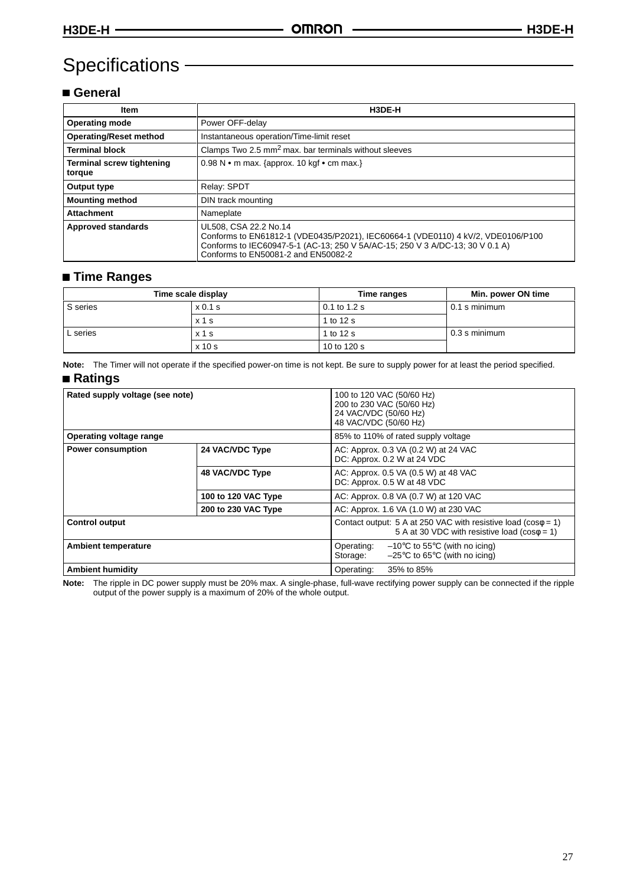## Specifications

## **General**

| Item                                       | H3DE-H                                                                                                                                                                                                                            |  |
|--------------------------------------------|-----------------------------------------------------------------------------------------------------------------------------------------------------------------------------------------------------------------------------------|--|
| <b>Operating mode</b>                      | Power OFF-delay                                                                                                                                                                                                                   |  |
| <b>Operating/Reset method</b>              | Instantaneous operation/Time-limit reset                                                                                                                                                                                          |  |
| <b>Terminal block</b>                      | Clamps Two 2.5 mm <sup>2</sup> max. bar terminals without sleeves                                                                                                                                                                 |  |
| <b>Terminal screw tightening</b><br>torque | 0.98 N • m max. {approx. 10 kgf • cm max.}                                                                                                                                                                                        |  |
| Output type                                | Relay: SPDT                                                                                                                                                                                                                       |  |
| <b>Mounting method</b>                     | DIN track mounting                                                                                                                                                                                                                |  |
| <b>Attachment</b>                          | Nameplate                                                                                                                                                                                                                         |  |
| <b>Approved standards</b>                  | UL508, CSA 22.2 No.14<br>Conforms to EN61812-1 (VDE0435/P2021), IEC60664-1 (VDE0110) 4 kV/2, VDE0106/P100<br>Conforms to IEC60947-5-1 (AC-13; 250 V 5A/AC-15; 250 V 3 A/DC-13; 30 V 0.1 A)<br>Conforms to EN50081-2 and EN50082-2 |  |

## **Time Ranges**

|          | Time scale display | Time ranges  | Min. power ON time |
|----------|--------------------|--------------|--------------------|
| S series | x 0.1 s            | 0.1 to 1.2 s | $0.1$ s minimum    |
|          | x <sub>1</sub> s   | 1 to 12 s    |                    |
| L series | $x1$ s             | 1 to 12 s    | 0.3 s minimum      |
|          | $x$ 10 s           | 10 to 120 s  |                    |

**Note:** The Timer will not operate if the specified power-on time is not kept. Be sure to supply power for at least the period specified.

### **Ratings**

| Rated supply voltage (see note) |                            | 100 to 120 VAC (50/60 Hz)<br>200 to 230 VAC (50/60 Hz)<br>24 VAC/VDC (50/60 Hz)<br>48 VAC/VDC (50/60 Hz)                           |
|---------------------------------|----------------------------|------------------------------------------------------------------------------------------------------------------------------------|
| Operating voltage range         |                            | 85% to 110% of rated supply voltage                                                                                                |
| <b>Power consumption</b>        | 24 VAC/VDC Type            | AC: Approx. 0.3 VA (0.2 W) at 24 VAC<br>DC: Approx. 0.2 W at 24 VDC                                                                |
|                                 | <b>48 VAC/VDC Type</b>     | AC: Approx. 0.5 VA (0.5 W) at 48 VAC<br>DC: Approx. 0.5 W at 48 VDC                                                                |
|                                 | <b>100 to 120 VAC Type</b> | AC: Approx. 0.8 VA (0.7 W) at 120 VAC                                                                                              |
|                                 | 200 to 230 VAC Type        | AC: Approx. 1.6 VA (1.0 W) at 230 VAC                                                                                              |
| <b>Control output</b>           |                            | Contact output: 5 A at 250 VAC with resistive load ( $cos\phi = 1$ )<br>5 A at 30 VDC with resistive load ( $cos\phi = 1$ )        |
| <b>Ambient temperature</b>      |                            | $-10^{\circ}$ C to 55 $^{\circ}$ C (with no icing)<br>Operating:<br>$-25^{\circ}$ C to 65 $^{\circ}$ C (with no icing)<br>Storage: |
| <b>Ambient humidity</b>         |                            | Operating:<br>35% to 85%                                                                                                           |

**Note:** The ripple in DC power supply must be 20% max. A single-phase, full-wave rectifying power supply can be connected if the ripple output of the power supply is a maximum of 20% of the whole output.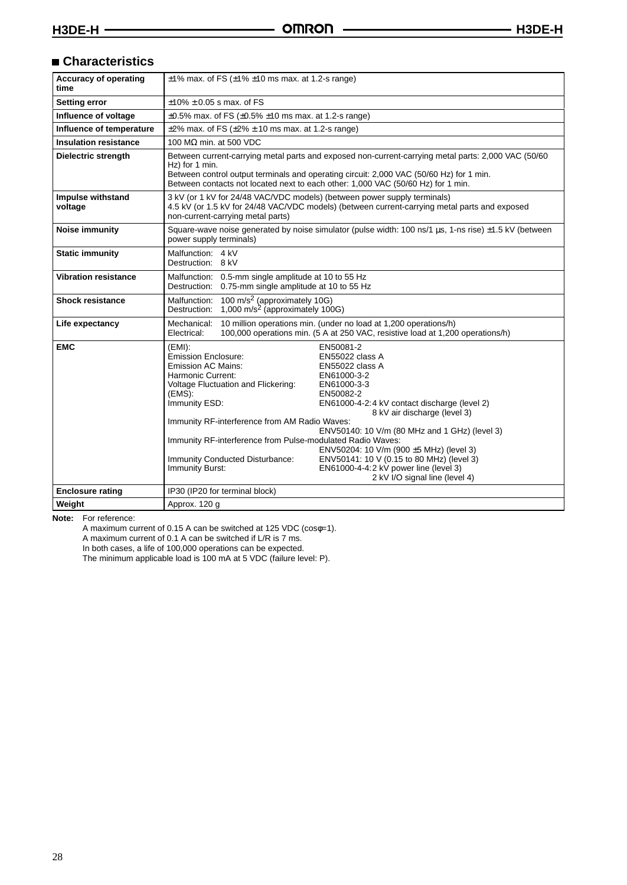## **Characteristics**

| <b>Accuracy of operating</b><br>time | $\pm$ 1% max. of FS ( $\pm$ 1% $\pm$ 10 ms max. at 1.2-s range)                                                                                                                                                                                                                                                                                                                                                                                                                                                                                                                                                                                                                                                      |  |
|--------------------------------------|----------------------------------------------------------------------------------------------------------------------------------------------------------------------------------------------------------------------------------------------------------------------------------------------------------------------------------------------------------------------------------------------------------------------------------------------------------------------------------------------------------------------------------------------------------------------------------------------------------------------------------------------------------------------------------------------------------------------|--|
| <b>Setting error</b>                 | $±10\% ± 0.05$ s max, of FS                                                                                                                                                                                                                                                                                                                                                                                                                                                                                                                                                                                                                                                                                          |  |
| Influence of voltage                 | $\pm 0.5\%$ max. of FS ( $\pm 0.5\%$ $\pm 10$ ms max. at 1.2-s range)                                                                                                                                                                                                                                                                                                                                                                                                                                                                                                                                                                                                                                                |  |
| Influence of temperature             | $\pm$ 2% max. of FS ( $\pm$ 2% $\pm$ 10 ms max. at 1.2-s range)                                                                                                                                                                                                                                                                                                                                                                                                                                                                                                                                                                                                                                                      |  |
| <b>Insulation resistance</b>         | 100 M $\Omega$ min. at 500 VDC                                                                                                                                                                                                                                                                                                                                                                                                                                                                                                                                                                                                                                                                                       |  |
| <b>Dielectric strength</b>           | Between current-carrying metal parts and exposed non-current-carrying metal parts: 2,000 VAC (50/60)<br>Hz) for 1 min.<br>Between control output terminals and operating circuit: 2,000 VAC (50/60 Hz) for 1 min.<br>Between contacts not located next to each other: 1,000 VAC (50/60 Hz) for 1 min.                                                                                                                                                                                                                                                                                                                                                                                                                |  |
| Impulse withstand<br>voltage         | 3 kV (or 1 kV for 24/48 VAC/VDC models) (between power supply terminals)<br>4.5 kV (or 1.5 kV for 24/48 VAC/VDC models) (between current-carrying metal parts and exposed<br>non-current-carrying metal parts)                                                                                                                                                                                                                                                                                                                                                                                                                                                                                                       |  |
| <b>Noise immunity</b>                | Square-wave noise generated by noise simulator (pulse width: 100 ns/1 µs, 1-ns rise) ±1.5 kV (between<br>power supply terminals)                                                                                                                                                                                                                                                                                                                                                                                                                                                                                                                                                                                     |  |
| <b>Static immunity</b>               | Malfunction: 4 kV<br>Destruction: 8 kV                                                                                                                                                                                                                                                                                                                                                                                                                                                                                                                                                                                                                                                                               |  |
| <b>Vibration resistance</b>          | Malfunction: 0.5-mm single amplitude at 10 to 55 Hz<br>Destruction: 0.75-mm single amplitude at 10 to 55 Hz                                                                                                                                                                                                                                                                                                                                                                                                                                                                                                                                                                                                          |  |
| <b>Shock resistance</b>              | 100 m/s <sup>2</sup> (approximately 10G)<br>Malfunction:<br>1,000 m/s <sup>2</sup> (approximately 100G)<br>Destruction:                                                                                                                                                                                                                                                                                                                                                                                                                                                                                                                                                                                              |  |
| Life expectancy                      | 10 million operations min. (under no load at 1,200 operations/h)<br>Mechanical:<br>100,000 operations min. (5 A at 250 VAC, resistive load at 1,200 operations/h)<br>Electrical:                                                                                                                                                                                                                                                                                                                                                                                                                                                                                                                                     |  |
| <b>EMC</b>                           | $(EMI)$ :<br>EN50081-2<br>Emission Enclosure:<br>EN55022 class A<br>Emission AC Mains:<br>EN55022 class A<br>Harmonic Current:<br>EN61000-3-2<br>Voltage Fluctuation and Flickering:<br>EN61000-3-3<br>(EMS):<br>EN50082-2<br>Immunity ESD:<br>EN61000-4-2:4 kV contact discharge (level 2)<br>8 kV air discharge (level 3)<br>Immunity RF-interference from AM Radio Waves:<br>ENV50140: 10 V/m (80 MHz and 1 GHz) (level 3)<br>Immunity RF-interference from Pulse-modulated Radio Waves:<br>ENV50204: 10 V/m (900 ±5 MHz) (level 3)<br>ENV50141: 10 V (0.15 to 80 MHz) (level 3)<br>Immunity Conducted Disturbance:<br>Immunity Burst:<br>EN61000-4-4:2 kV power line (level 3)<br>2 kV I/O signal line (level 4) |  |
| <b>Enclosure rating</b>              | IP30 (IP20 for terminal block)                                                                                                                                                                                                                                                                                                                                                                                                                                                                                                                                                                                                                                                                                       |  |
| Weight                               | Approx. 120 q                                                                                                                                                                                                                                                                                                                                                                                                                                                                                                                                                                                                                                                                                                        |  |

**Note:** For reference:

A maximum current of 0.15 A can be switched at 125 VDC (cosφ=1).

A maximum current of 0.1 A can be switched if L/R is 7 ms.

In both cases, a life of 100,000 operations can be expected.

The minimum applicable load is 100 mA at 5 VDC (failure level: P).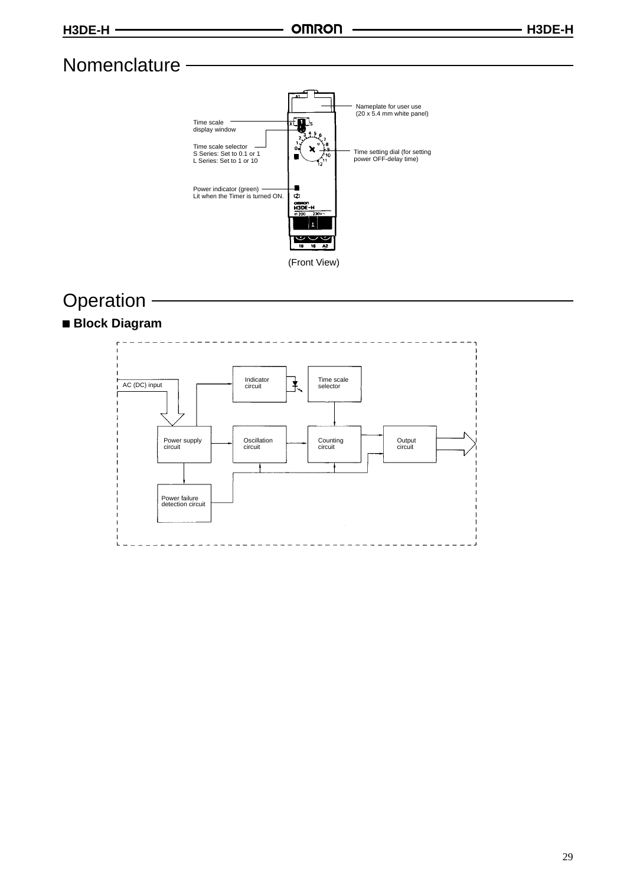## **Nomenclature**



## **Operation**

## **Block Diagram**

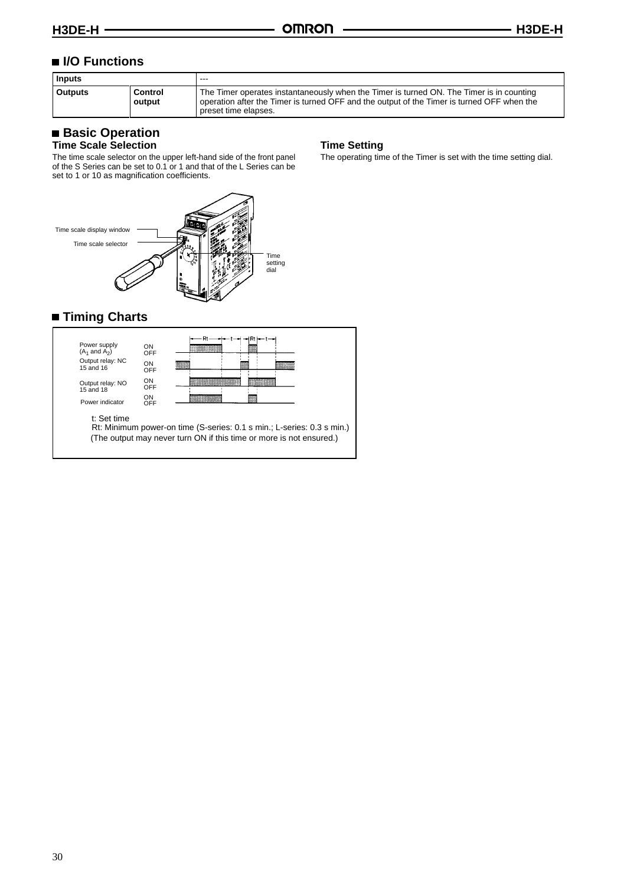## ■ **I/O Functions**

| <b>Inputs</b>  |                   | $- - -$                                                                                                                                                                                                        |
|----------------|-------------------|----------------------------------------------------------------------------------------------------------------------------------------------------------------------------------------------------------------|
| <b>Outputs</b> | Control<br>output | The Timer operates instantaneously when the Timer is turned ON. The Timer is in counting<br>operation after the Timer is turned OFF and the output of the Timer is turned OFF when the<br>preset time elapses. |

## **Basic Operation**

#### **Time Scale Selection**

The time scale selector on the upper left-hand side of the front panel of the S Series can be set to 0.1 or 1 and that of the L Series can be set to 1 or 10 as magnification coefficients.



## **Timing Charts**



Rt: Minimum power-on time (S-series: 0.1 s min.; L-series: 0.3 s min.) (The output may never turn ON if this time or more is not ensured.)

#### **Time Setting**

The operating time of the Timer is set with the time setting dial.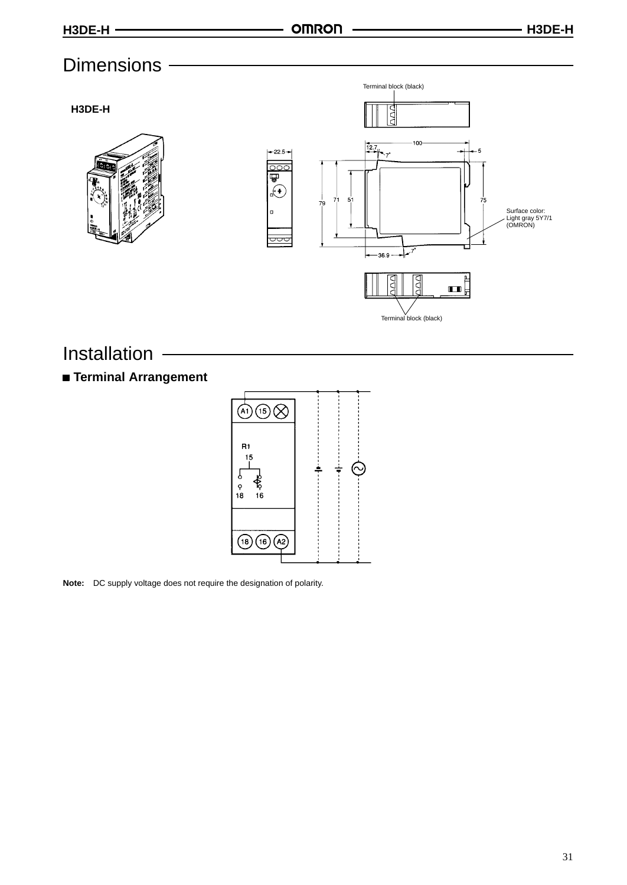## **Dimensions**

**H3DE-H**





## Installation

## **Terminal Arrangement**



**Note:** DC supply voltage does not require the designation of polarity.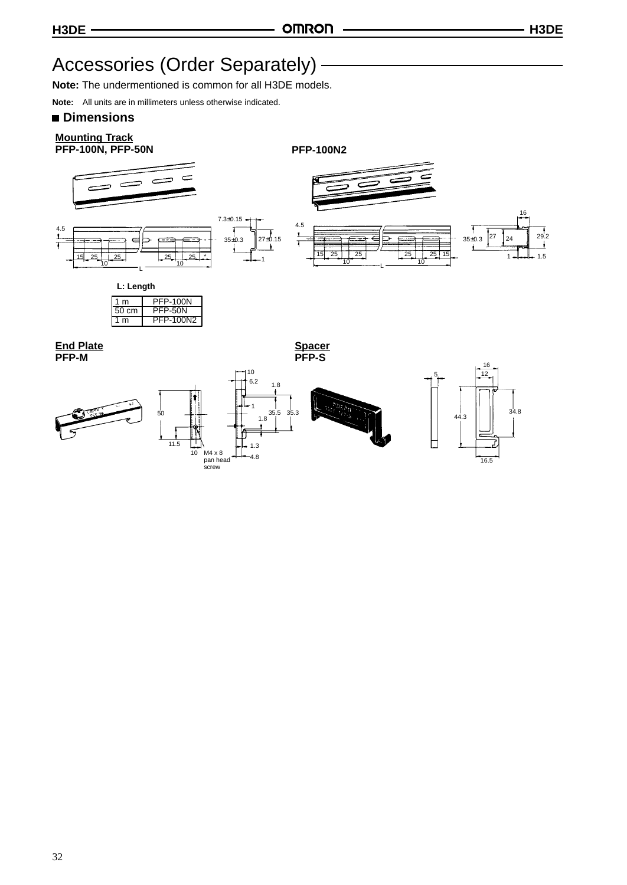## <span id="page-28-0"></span>Accessories (Order Separately) -

**Note:** The undermentioned is common for all H3DE models.

**Note:** All units are in millimeters unless otherwise indicated.

### **Dimensions**

## **Mounting Track**

**PFP-100N, PFP-50N PFP-100N2**







**L: Length**





32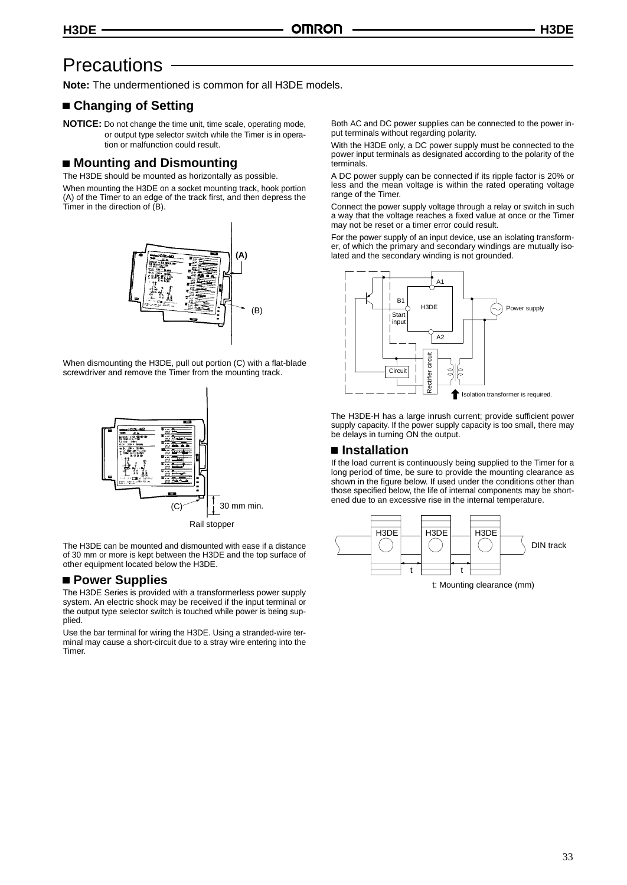## <span id="page-29-0"></span>**Precautions**

**Note:** The undermentioned is common for all H3DE models.

### **Changing of Setting**

**NOTICE:** Do not change the time unit, time scale, operating mode, or output type selector switch while the Timer is in operation or malfunction could result.

#### **Mounting and Dismounting**

The H3DE should be mounted as horizontally as possible.

When mounting the H3DE on a socket mounting track, hook portion (A) of the Timer to an edge of the track first, and then depress the Timer in the direction of (B).



When dismounting the H3DE, pull out portion (C) with a flat-blade screwdriver and remove the Timer from the mounting track.



The H3DE can be mounted and dismounted with ease if a distance of 30 mm or more is kept between the H3DE and the top surface of other equipment located below the H3DE.

#### **Power Supplies**

The H3DE Series is provided with a transformerless power supply system. An electric shock may be received if the input terminal or the output type selector switch is touched while power is being supplied.

Use the bar terminal for wiring the H3DE. Using a stranded-wire terminal may cause a short-circuit due to a stray wire entering into the Timer.

Both AC and DC power supplies can be connected to the power input terminals without regarding polarity.

With the H3DE only, a DC power supply must be connected to the power input terminals as designated according to the polarity of the terminals.

A DC power supply can be connected if its ripple factor is 20% or less and the mean voltage is within the rated operating voltage range of the Timer.

Connect the power supply voltage through a relay or switch in such a way that the voltage reaches a fixed value at once or the Timer may not be reset or a timer error could result.

For the power supply of an input device, use an isolating transformer, of which the primary and secondary windings are mutually isolated and the secondary winding is not grounded.



The H3DE-H has a large inrush current; provide sufficient power supply capacity. If the power supply capacity is too small, there may be delays in turning ON the output.

#### ■ Installation

If the load current is continuously being supplied to the Timer for a long period of time, be sure to provide the mounting clearance as shown in the figure below. If used under the conditions other than those specified below, the life of internal components may be shortened due to an excessive rise in the internal temperature.

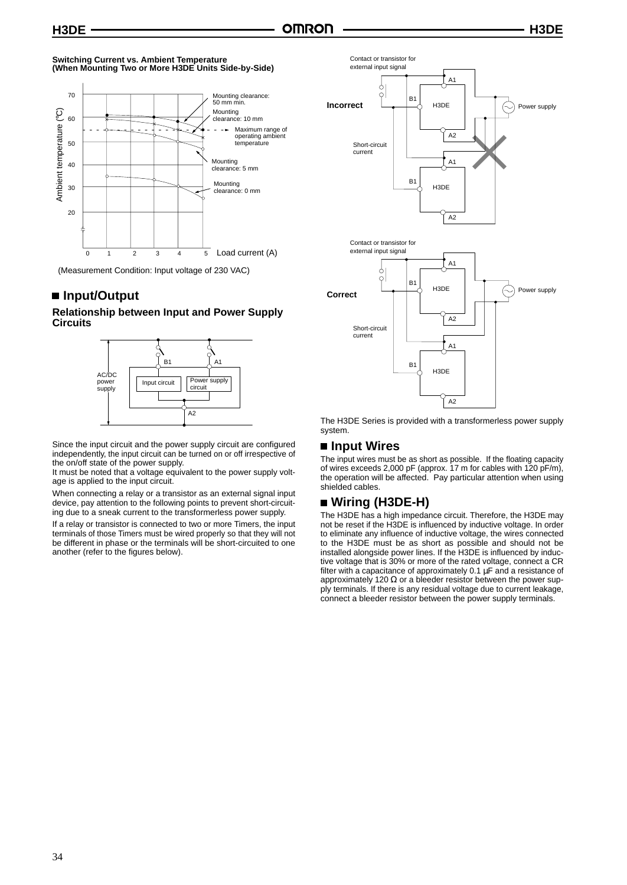#### **Switching Current vs. Ambient Temperature (When Mounting Two or More H3DE Units Side-by-Side)**



(Measurement Condition: Input voltage of 230 VAC)

## ■ Input/Output

#### **Relationship between Input and Power Supply Circuits**



Since the input circuit and the power supply circuit are configured independently, the input circuit can be turned on or off irrespective of the on/off state of the power supply.

It must be noted that a voltage equivalent to the power supply voltage is applied to the input circuit.

When connecting a relay or a transistor as an external signal input device, pay attention to the following points to prevent short-circuiting due to a sneak current to the transformerless power supply.

If a relay or transistor is connected to two or more Timers, the input terminals of those Timers must be wired properly so that they will not be different in phase or the terminals will be short-circuited to one another (refer to the figures below).



The H3DE Series is provided with a transformerless power supply system.

#### ■ Input Wires

The input wires must be as short as possible. If the floating capacity of wires exceeds 2,000 pF (approx. 17 m for cables with 120 pF/m), the operation will be affected. Pay particular attention when using shielded cables.

## **Wiring (H3DE-H)**

The H3DE has a high impedance circuit. Therefore, the H3DE may not be reset if the H3DE is influenced by inductive voltage. In order to eliminate any influence of inductive voltage, the wires connected to the H3DE must be as short as possible and should not be installed alongside power lines. If the H3DE is influenced by inductive voltage that is 30% or more of the rated voltage, connect a CR filter with a capacitance of approximately  $0.1 \mu$ F and a resistance of approximately 120  $\Omega$  or a bleeder resistor between the power supply terminals. If there is any residual voltage due to current leakage, connect a bleeder resistor between the power supply terminals.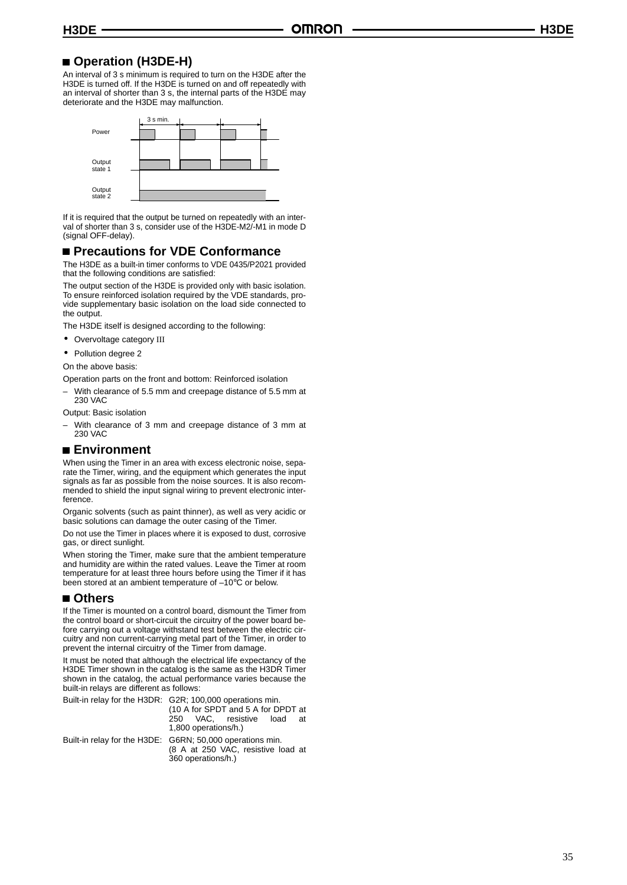## **Operation (H3DE-H)**

An interval of 3 s minimum is required to turn on the H3DE after the H3DE is turned off. If the H3DE is turned on and off repeatedly with an interval of shorter than 3 s, the internal parts of the H3DE may deteriorate and the H3DE may malfunction.



If it is required that the output be turned on repeatedly with an interval of shorter than 3 s, consider use of the H3DE-M2/-M1 in mode D (signal OFF-delay).

### **Precautions for VDE Conformance**

The H3DE as a built-in timer conforms to VDE 0435/P2021 provided that the following conditions are satisfied:

The output section of the H3DE is provided only with basic isolation. To ensure reinforced isolation required by the VDE standards, pro vide supplementary basic isolation on the load side connected to the output.

The H3DE itself is designed according to the following:

- Overvoltage category III
- Pollution degree 2

On the above basis:

Operation parts on the front and bottom: Reinforced isolation

– With clearance of 5.5 mm and creepage distance of 5.5 mm at 230 VAC

Output: Basic isolation

– With clearance of 3 mm and creepage distance of 3 mm at 230 VAC

## ■ Environment

When using the Timer in an area with excess electronic noise, sepa rate the Timer, wiring, and the equipment which generates the input signals as far as possible from the noise sources. It is also recom mended to shield the input signal wiring to prevent electronic inter ference.

Organic solvents (such as paint thinner), as well as very acidic or basic solutions can damage the outer casing of the Timer.

Do not use the Timer in places where it is exposed to dust, corrosive gas, or direct sunlight.

When storing the Timer, make sure that the ambient temperature and humidity are within the rated values. Leave the Timer at room temperature for at least three hours before using the Timer if it has been stored at an ambient temperature of -10°C or below.

#### **Others**

If the Timer is mounted on a control board, dismount the Timer from the control board or short-circuit the circuitry of the power board be fore carrying out a voltage withstand test between the electric circuitry and non current-carrying metal part of the Timer, in order to prevent the internal circuitry of the Timer from damage.

It must be noted that although the electrical life expectancy of the H3DE Timer shown in the catalog is the same as the H3DR Timer shown in the catalog, the actual performance varies because the built-in relays are different as follows:

Built-in relay for the H3DR: G2R; 100,000 operations min.

(10 A for SPDT and 5 A for DPDT at 250 VAC, resistive load at 1,800 operations/h.)

Built-in relay for the H3DE: G6RN; 50,000 operations min. (8 A at 250 VAC, resistive load at 360 operations/h.)